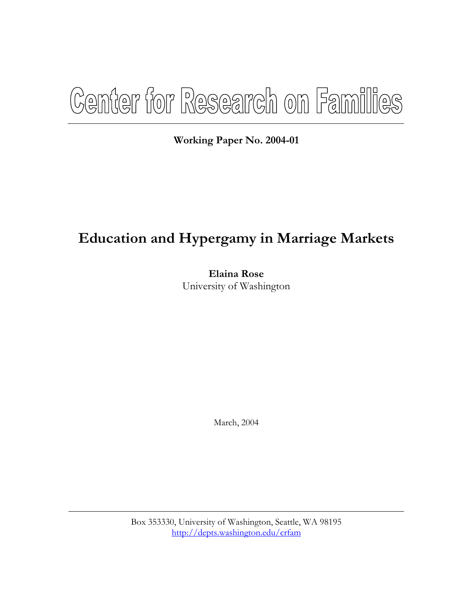# Center for Research on Families

**Working Paper No. 2004-01** 

# **Education and Hypergamy in Marriage Markets**

**Elaina Rose**  University of Washington

March, 2004

Box 353330, University of Washington, Seattle, WA 98195 <http://depts.washington.edu/crfam>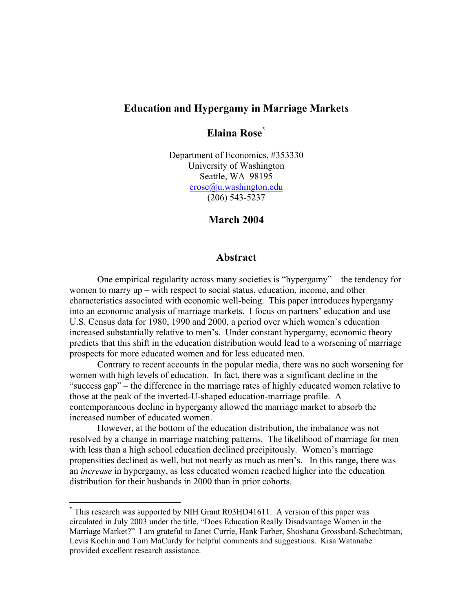# **Education and Hypergamy in Marriage Markets**

# **Elaina Rose\***

Department of Economics, #353330 University of Washington Seattle, WA 98195 erose@u.washington.edu (206) 543-5237

# **March 2004**

## **Abstract**

 One empirical regularity across many societies is "hypergamy" – the tendency for women to marry up – with respect to social status, education, income, and other characteristics associated with economic well-being. This paper introduces hypergamy into an economic analysis of marriage markets. I focus on partners' education and use U.S. Census data for 1980, 1990 and 2000, a period over which women's education increased substantially relative to men's. Under constant hypergamy, economic theory predicts that this shift in the education distribution would lead to a worsening of marriage prospects for more educated women and for less educated men.

 Contrary to recent accounts in the popular media, there was no such worsening for women with high levels of education. In fact, there was a significant decline in the "success gap" – the difference in the marriage rates of highly educated women relative to those at the peak of the inverted-U-shaped education-marriage profile. A contemporaneous decline in hypergamy allowed the marriage market to absorb the increased number of educated women.

 However, at the bottom of the education distribution, the imbalance was not resolved by a change in marriage matching patterns. The likelihood of marriage for men with less than a high school education declined precipitously. Women's marriage propensities declined as well, but not nearly as much as men's. In this range, there was an *increase* in hypergamy, as less educated women reached higher into the education distribution for their husbands in 2000 than in prior cohorts.

<sup>\*</sup> This research was supported by NIH Grant R03HD41611. A version of this paper was circulated in July 2003 under the title, "Does Education Really Disadvantage Women in the Marriage Market?" I am grateful to Janet Currie, Hank Farber, Shoshana Grossbard-Schechtman, Levis Kochin and Tom MaCurdy for helpful comments and suggestions. Kisa Watanabe provided excellent research assistance.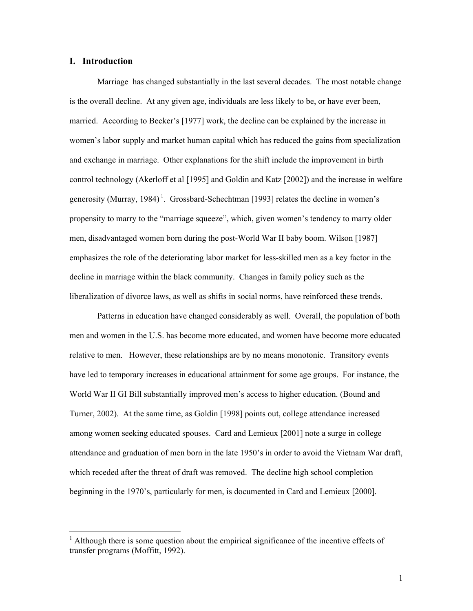#### **I. Introduction**

 $\overline{a}$ 

Marriage has changed substantially in the last several decades. The most notable change is the overall decline. At any given age, individuals are less likely to be, or have ever been, married. According to Becker's [1977] work, the decline can be explained by the increase in women's labor supply and market human capital which has reduced the gains from specialization and exchange in marriage. Other explanations for the shift include the improvement in birth control technology (Akerloff et al [1995] and Goldin and Katz [2002]) and the increase in welfare generosity (Murray, 1984)<sup>1</sup>. Grossbard-Schechtman [1993] relates the decline in women's propensity to marry to the "marriage squeeze", which, given women's tendency to marry older men, disadvantaged women born during the post-World War II baby boom. Wilson [1987] emphasizes the role of the deteriorating labor market for less-skilled men as a key factor in the decline in marriage within the black community. Changes in family policy such as the liberalization of divorce laws, as well as shifts in social norms, have reinforced these trends.

 Patterns in education have changed considerably as well. Overall, the population of both men and women in the U.S. has become more educated, and women have become more educated relative to men. However, these relationships are by no means monotonic. Transitory events have led to temporary increases in educational attainment for some age groups. For instance, the World War II GI Bill substantially improved men's access to higher education. (Bound and Turner, 2002). At the same time, as Goldin [1998] points out, college attendance increased among women seeking educated spouses. Card and Lemieux [2001] note a surge in college attendance and graduation of men born in the late 1950's in order to avoid the Vietnam War draft, which receded after the threat of draft was removed. The decline high school completion beginning in the 1970's, particularly for men, is documented in Card and Lemieux [2000].

 $<sup>1</sup>$  Although there is some question about the empirical significance of the incentive effects of</sup> transfer programs (Moffitt, 1992).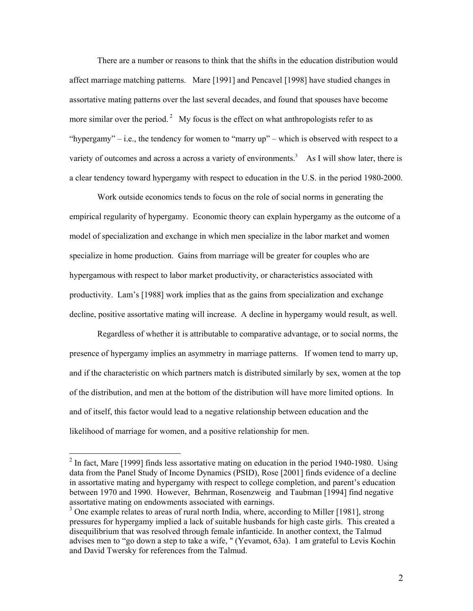There are a number or reasons to think that the shifts in the education distribution would affect marriage matching patterns. Mare [1991] and Pencavel [1998] have studied changes in assortative mating patterns over the last several decades, and found that spouses have become more similar over the period.<sup>2</sup> My focus is the effect on what anthropologists refer to as "hypergamy" – i.e., the tendency for women to "marry  $up$ " – which is observed with respect to a variety of outcomes and across a across a variety of environments.<sup>3</sup> As I will show later, there is a clear tendency toward hypergamy with respect to education in the U.S. in the period 1980-2000.

 Work outside economics tends to focus on the role of social norms in generating the empirical regularity of hypergamy. Economic theory can explain hypergamy as the outcome of a model of specialization and exchange in which men specialize in the labor market and women specialize in home production. Gains from marriage will be greater for couples who are hypergamous with respect to labor market productivity, or characteristics associated with productivity. Lam's [1988] work implies that as the gains from specialization and exchange decline, positive assortative mating will increase. A decline in hypergamy would result, as well.

 Regardless of whether it is attributable to comparative advantage, or to social norms, the presence of hypergamy implies an asymmetry in marriage patterns. If women tend to marry up, and if the characteristic on which partners match is distributed similarly by sex, women at the top of the distribution, and men at the bottom of the distribution will have more limited options. In and of itself, this factor would lead to a negative relationship between education and the likelihood of marriage for women, and a positive relationship for men.

 $2 \text{ In fact, Mare } [1999]$  finds less assortative mating on education in the period 1940-1980. Using data from the Panel Study of Income Dynamics (PSID), Rose [2001] finds evidence of a decline in assortative mating and hypergamy with respect to college completion, and parent's education between 1970 and 1990. However, Behrman, Rosenzweig and Taubman [1994] find negative assortative mating on endowments associated with earnings.

<sup>&</sup>lt;sup>3</sup> One example relates to areas of rural north India, where, according to Miller [1981], strong pressures for hypergamy implied a lack of suitable husbands for high caste girls. This created a disequilibrium that was resolved through female infanticide. In another context, the Talmud advises men to "go down a step to take a wife, " (Yevamot, 63a). I am grateful to Levis Kochin and David Twersky for references from the Talmud.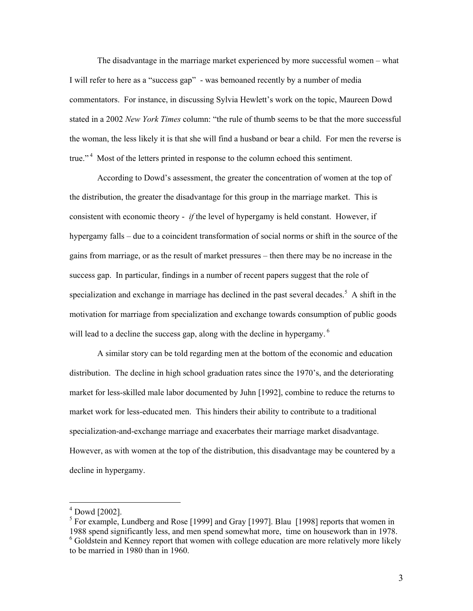The disadvantage in the marriage market experienced by more successful women – what I will refer to here as a "success gap" - was bemoaned recently by a number of media commentators. For instance, in discussing Sylvia Hewlett's work on the topic, Maureen Dowd stated in a 2002 *New York Times* column: "the rule of thumb seems to be that the more successful the woman, the less likely it is that she will find a husband or bear a child. For men the reverse is true."<sup>4</sup> Most of the letters printed in response to the column echoed this sentiment.

 According to Dowd's assessment, the greater the concentration of women at the top of the distribution, the greater the disadvantage for this group in the marriage market. This is consistent with economic theory - *if* the level of hypergamy is held constant. However, if hypergamy falls – due to a coincident transformation of social norms or shift in the source of the gains from marriage, or as the result of market pressures – then there may be no increase in the success gap. In particular, findings in a number of recent papers suggest that the role of specialization and exchange in marriage has declined in the past several decades.<sup>5</sup> A shift in the motivation for marriage from specialization and exchange towards consumption of public goods will lead to a decline the success gap, along with the decline in hypergamy.<sup>6</sup>

 A similar story can be told regarding men at the bottom of the economic and education distribution. The decline in high school graduation rates since the 1970's, and the deteriorating market for less-skilled male labor documented by Juhn [1992], combine to reduce the returns to market work for less-educated men. This hinders their ability to contribute to a traditional specialization-and-exchange marriage and exacerbates their marriage market disadvantage. However, as with women at the top of the distribution, this disadvantage may be countered by a decline in hypergamy.

<sup>4</sup> Dowd [2002].

 $<sup>5</sup>$  For example, Lundberg and Rose [1999] and Gray [1997]. Blau [1998] reports that women in</sup> 1988 spend significantly less, and men spend somewhat more, time on housework than in 1978.

<sup>&</sup>lt;sup>6</sup> Goldstein and Kenney report that women with college education are more relatively more likely to be married in 1980 than in 1960.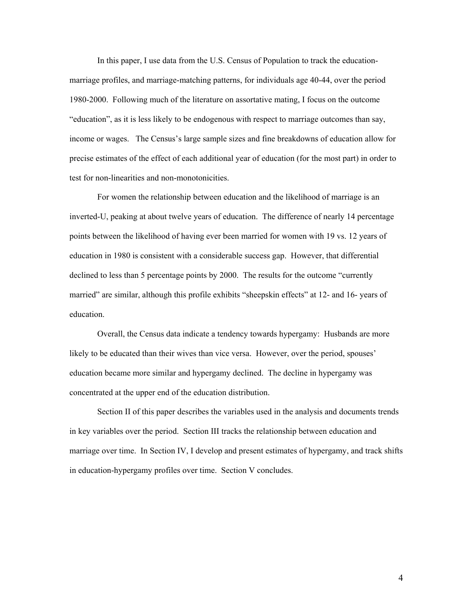In this paper, I use data from the U.S. Census of Population to track the educationmarriage profiles, and marriage-matching patterns, for individuals age 40-44, over the period 1980-2000. Following much of the literature on assortative mating, I focus on the outcome "education", as it is less likely to be endogenous with respect to marriage outcomes than say, income or wages. The Census's large sample sizes and fine breakdowns of education allow for precise estimates of the effect of each additional year of education (for the most part) in order to test for non-linearities and non-monotonicities.

 For women the relationship between education and the likelihood of marriage is an inverted-U, peaking at about twelve years of education. The difference of nearly 14 percentage points between the likelihood of having ever been married for women with 19 vs. 12 years of education in 1980 is consistent with a considerable success gap. However, that differential declined to less than 5 percentage points by 2000. The results for the outcome "currently married" are similar, although this profile exhibits "sheepskin effects" at 12- and 16- years of education.

 Overall, the Census data indicate a tendency towards hypergamy: Husbands are more likely to be educated than their wives than vice versa. However, over the period, spouses' education became more similar and hypergamy declined. The decline in hypergamy was concentrated at the upper end of the education distribution.

 Section II of this paper describes the variables used in the analysis and documents trends in key variables over the period. Section III tracks the relationship between education and marriage over time. In Section IV, I develop and present estimates of hypergamy, and track shifts in education-hypergamy profiles over time. Section V concludes.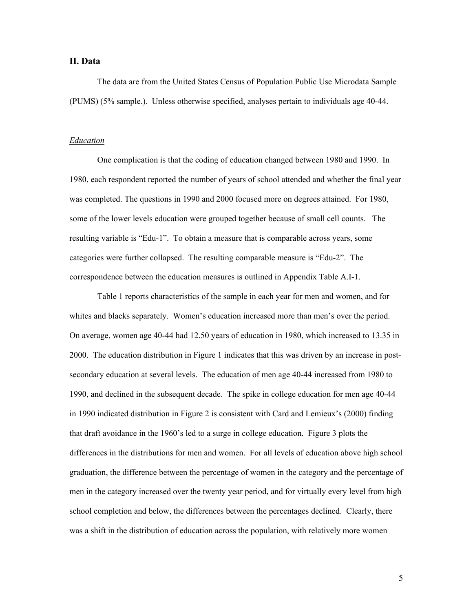#### **II. Data**

 The data are from the United States Census of Population Public Use Microdata Sample (PUMS) (5% sample.). Unless otherwise specified, analyses pertain to individuals age 40-44.

#### *Education*

 One complication is that the coding of education changed between 1980 and 1990. In 1980, each respondent reported the number of years of school attended and whether the final year was completed. The questions in 1990 and 2000 focused more on degrees attained. For 1980, some of the lower levels education were grouped together because of small cell counts. The resulting variable is "Edu-1". To obtain a measure that is comparable across years, some categories were further collapsed. The resulting comparable measure is "Edu-2". The correspondence between the education measures is outlined in Appendix Table A.I-1.

 Table 1 reports characteristics of the sample in each year for men and women, and for whites and blacks separately. Women's education increased more than men's over the period. On average, women age 40-44 had 12.50 years of education in 1980, which increased to 13.35 in 2000. The education distribution in Figure 1 indicates that this was driven by an increase in postsecondary education at several levels. The education of men age 40-44 increased from 1980 to 1990, and declined in the subsequent decade. The spike in college education for men age 40-44 in 1990 indicated distribution in Figure 2 is consistent with Card and Lemieux's (2000) finding that draft avoidance in the 1960's led to a surge in college education. Figure 3 plots the differences in the distributions for men and women. For all levels of education above high school graduation, the difference between the percentage of women in the category and the percentage of men in the category increased over the twenty year period, and for virtually every level from high school completion and below, the differences between the percentages declined. Clearly, there was a shift in the distribution of education across the population, with relatively more women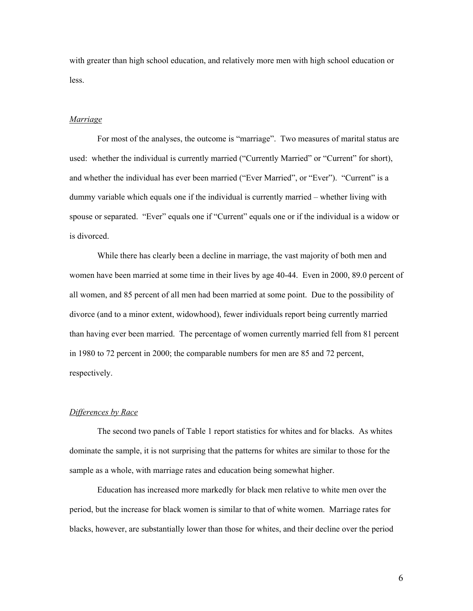with greater than high school education, and relatively more men with high school education or less.

#### *Marriage*

 For most of the analyses, the outcome is "marriage". Two measures of marital status are used: whether the individual is currently married ("Currently Married" or "Current" for short), and whether the individual has ever been married ("Ever Married", or "Ever"). "Current" is a dummy variable which equals one if the individual is currently married – whether living with spouse or separated. "Ever" equals one if "Current" equals one or if the individual is a widow or is divorced.

 While there has clearly been a decline in marriage, the vast majority of both men and women have been married at some time in their lives by age 40-44. Even in 2000, 89.0 percent of all women, and 85 percent of all men had been married at some point. Due to the possibility of divorce (and to a minor extent, widowhood), fewer individuals report being currently married than having ever been married. The percentage of women currently married fell from 81 percent in 1980 to 72 percent in 2000; the comparable numbers for men are 85 and 72 percent, respectively.

#### *Differences by Race*

 The second two panels of Table 1 report statistics for whites and for blacks. As whites dominate the sample, it is not surprising that the patterns for whites are similar to those for the sample as a whole, with marriage rates and education being somewhat higher.

 Education has increased more markedly for black men relative to white men over the period, but the increase for black women is similar to that of white women. Marriage rates for blacks, however, are substantially lower than those for whites, and their decline over the period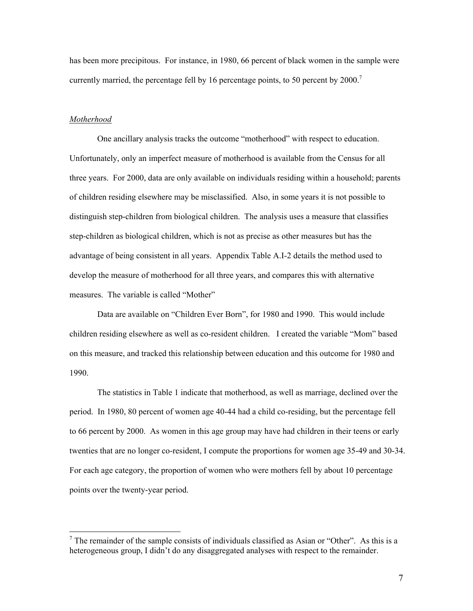has been more precipitous. For instance, in 1980, 66 percent of black women in the sample were currently married, the percentage fell by 16 percentage points, to 50 percent by  $2000$ .<sup>7</sup>

#### *Motherhood*

 $\overline{a}$ 

 One ancillary analysis tracks the outcome "motherhood" with respect to education. Unfortunately, only an imperfect measure of motherhood is available from the Census for all three years. For 2000, data are only available on individuals residing within a household; parents of children residing elsewhere may be misclassified. Also, in some years it is not possible to distinguish step-children from biological children. The analysis uses a measure that classifies step-children as biological children, which is not as precise as other measures but has the advantage of being consistent in all years. Appendix Table A.I-2 details the method used to develop the measure of motherhood for all three years, and compares this with alternative measures. The variable is called "Mother"

 Data are available on "Children Ever Born", for 1980 and 1990. This would include children residing elsewhere as well as co-resident children. I created the variable "Mom" based on this measure, and tracked this relationship between education and this outcome for 1980 and 1990.

 The statistics in Table 1 indicate that motherhood, as well as marriage, declined over the period. In 1980, 80 percent of women age 40-44 had a child co-residing, but the percentage fell to 66 percent by 2000. As women in this age group may have had children in their teens or early twenties that are no longer co-resident, I compute the proportions for women age 35-49 and 30-34. For each age category, the proportion of women who were mothers fell by about 10 percentage points over the twenty-year period.

<sup>&</sup>lt;sup>7</sup> The remainder of the sample consists of individuals classified as Asian or "Other". As this is a heterogeneous group, I didn't do any disaggregated analyses with respect to the remainder.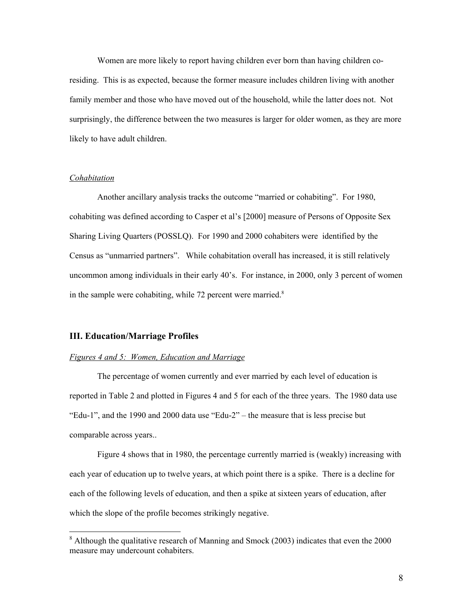Women are more likely to report having children ever born than having children coresiding. This is as expected, because the former measure includes children living with another family member and those who have moved out of the household, while the latter does not. Not surprisingly, the difference between the two measures is larger for older women, as they are more likely to have adult children.

#### *Cohabitation*

 $\overline{a}$ 

 Another ancillary analysis tracks the outcome "married or cohabiting". For 1980, cohabiting was defined according to Casper et al's [2000] measure of Persons of Opposite Sex Sharing Living Quarters (POSSLQ). For 1990 and 2000 cohabiters were identified by the Census as "unmarried partners". While cohabitation overall has increased, it is still relatively uncommon among individuals in their early 40's. For instance, in 2000, only 3 percent of women in the sample were cohabiting, while  $72$  percent were married.<sup>8</sup>

#### **III. Education/Marriage Profiles**

#### *Figures 4 and 5: Women, Education and Marriage*

 The percentage of women currently and ever married by each level of education is reported in Table 2 and plotted in Figures 4 and 5 for each of the three years. The 1980 data use "Edu-1", and the 1990 and 2000 data use "Edu-2" – the measure that is less precise but comparable across years..

 Figure 4 shows that in 1980, the percentage currently married is (weakly) increasing with each year of education up to twelve years, at which point there is a spike. There is a decline for each of the following levels of education, and then a spike at sixteen years of education, after which the slope of the profile becomes strikingly negative.

 $8$  Although the qualitative research of Manning and Smock (2003) indicates that even the 2000 measure may undercount cohabiters.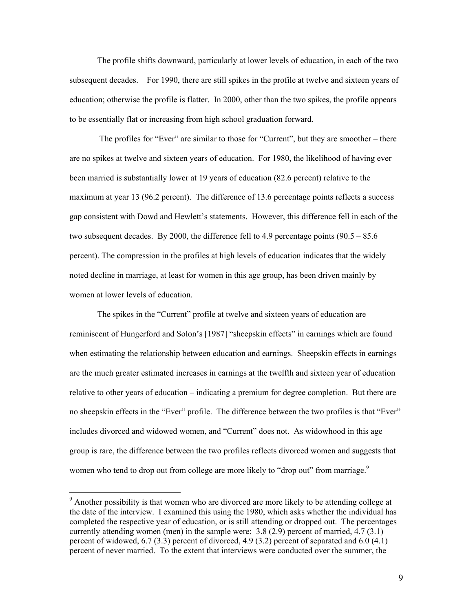The profile shifts downward, particularly at lower levels of education, in each of the two subsequent decades. For 1990, there are still spikes in the profile at twelve and sixteen years of education; otherwise the profile is flatter. In 2000, other than the two spikes, the profile appears to be essentially flat or increasing from high school graduation forward.

 The profiles for "Ever" are similar to those for "Current", but they are smoother – there are no spikes at twelve and sixteen years of education. For 1980, the likelihood of having ever been married is substantially lower at 19 years of education (82.6 percent) relative to the maximum at year 13 (96.2 percent). The difference of 13.6 percentage points reflects a success gap consistent with Dowd and Hewlett's statements. However, this difference fell in each of the two subsequent decades. By 2000, the difference fell to 4.9 percentage points  $(90.5 - 85.6)$ percent). The compression in the profiles at high levels of education indicates that the widely noted decline in marriage, at least for women in this age group, has been driven mainly by women at lower levels of education.

 The spikes in the "Current" profile at twelve and sixteen years of education are reminiscent of Hungerford and Solon's [1987] "sheepskin effects" in earnings which are found when estimating the relationship between education and earnings. Sheepskin effects in earnings are the much greater estimated increases in earnings at the twelfth and sixteen year of education relative to other years of education – indicating a premium for degree completion. But there are no sheepskin effects in the "Ever" profile. The difference between the two profiles is that "Ever" includes divorced and widowed women, and "Current" does not. As widowhood in this age group is rare, the difference between the two profiles reflects divorced women and suggests that women who tend to drop out from college are more likely to "drop out" from marriage.<sup>9</sup>

<sup>&</sup>lt;sup>9</sup> Another possibility is that women who are divorced are more likely to be attending college at the date of the interview. I examined this using the 1980, which asks whether the individual has completed the respective year of education, or is still attending or dropped out. The percentages currently attending women (men) in the sample were:  $3.8(2.9)$  percent of married,  $4.7(3.1)$ percent of widowed, 6.7 (3.3) percent of divorced, 4.9 (3.2) percent of separated and 6.0 (4.1) percent of never married. To the extent that interviews were conducted over the summer, the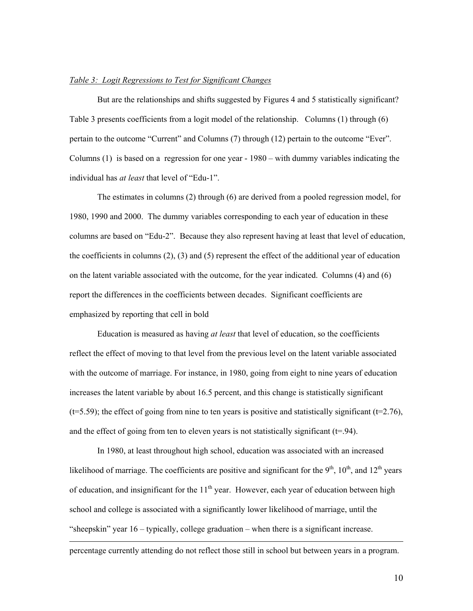#### *Table 3: Logit Regressions to Test for Significant Changes*

 But are the relationships and shifts suggested by Figures 4 and 5 statistically significant? Table 3 presents coefficients from a logit model of the relationship. Columns (1) through (6) pertain to the outcome "Current" and Columns (7) through (12) pertain to the outcome "Ever". Columns  $(1)$  is based on a regression for one year - 1980 – with dummy variables indicating the individual has *at least* that level of "Edu-1".

 The estimates in columns (2) through (6) are derived from a pooled regression model, for 1980, 1990 and 2000. The dummy variables corresponding to each year of education in these columns are based on "Edu-2". Because they also represent having at least that level of education, the coefficients in columns (2), (3) and (5) represent the effect of the additional year of education on the latent variable associated with the outcome, for the year indicated. Columns (4) and (6) report the differences in the coefficients between decades. Significant coefficients are emphasized by reporting that cell in bold

 Education is measured as having *at least* that level of education, so the coefficients reflect the effect of moving to that level from the previous level on the latent variable associated with the outcome of marriage. For instance, in 1980, going from eight to nine years of education increases the latent variable by about 16.5 percent, and this change is statistically significant  $(t=5.59)$ ; the effect of going from nine to ten years is positive and statistically significant  $(t=2.76)$ , and the effect of going from ten to eleven years is not statistically significant  $(t=0.94)$ .

 In 1980, at least throughout high school, education was associated with an increased likelihood of marriage. The coefficients are positive and significant for the  $9<sup>th</sup>$ ,  $10<sup>th</sup>$ , and  $12<sup>th</sup>$  years of education, and insignificant for the  $11<sup>th</sup>$  year. However, each year of education between high school and college is associated with a significantly lower likelihood of marriage, until the "sheepskin" year 16 – typically, college graduation – when there is a significant increase.

percentage currently attending do not reflect those still in school but between years in a program.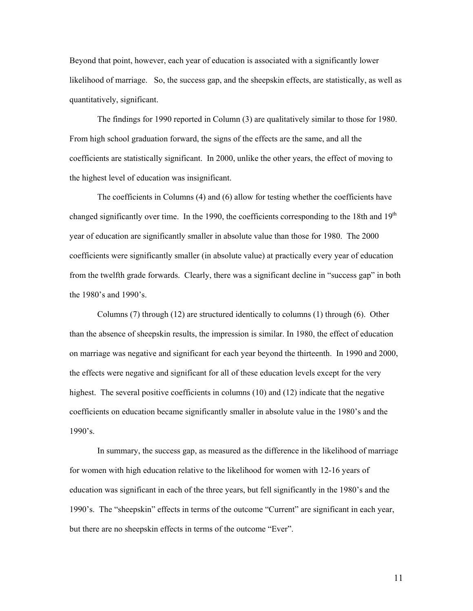Beyond that point, however, each year of education is associated with a significantly lower likelihood of marriage. So, the success gap, and the sheepskin effects, are statistically, as well as quantitatively, significant.

 The findings for 1990 reported in Column (3) are qualitatively similar to those for 1980. From high school graduation forward, the signs of the effects are the same, and all the coefficients are statistically significant. In 2000, unlike the other years, the effect of moving to the highest level of education was insignificant.

 The coefficients in Columns (4) and (6) allow for testing whether the coefficients have changed significantly over time. In the 1990, the coefficients corresponding to the 18th and  $19<sup>th</sup>$ year of education are significantly smaller in absolute value than those for 1980. The 2000 coefficients were significantly smaller (in absolute value) at practically every year of education from the twelfth grade forwards. Clearly, there was a significant decline in "success gap" in both the 1980's and 1990's.

 Columns (7) through (12) are structured identically to columns (1) through (6). Other than the absence of sheepskin results, the impression is similar. In 1980, the effect of education on marriage was negative and significant for each year beyond the thirteenth. In 1990 and 2000, the effects were negative and significant for all of these education levels except for the very highest. The several positive coefficients in columns (10) and (12) indicate that the negative coefficients on education became significantly smaller in absolute value in the 1980's and the 1990's.

 In summary, the success gap, as measured as the difference in the likelihood of marriage for women with high education relative to the likelihood for women with 12-16 years of education was significant in each of the three years, but fell significantly in the 1980's and the 1990's. The "sheepskin" effects in terms of the outcome "Current" are significant in each year, but there are no sheepskin effects in terms of the outcome "Ever".

11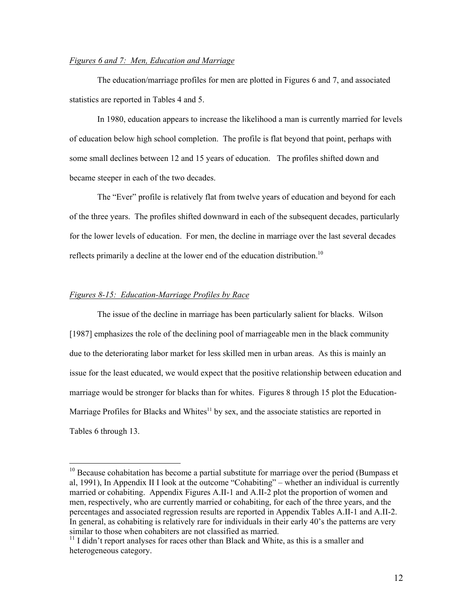#### *Figures 6 and 7: Men, Education and Marriage*

 The education/marriage profiles for men are plotted in Figures 6 and 7, and associated statistics are reported in Tables 4 and 5.

 In 1980, education appears to increase the likelihood a man is currently married for levels of education below high school completion. The profile is flat beyond that point, perhaps with some small declines between 12 and 15 years of education. The profiles shifted down and became steeper in each of the two decades.

 The "Ever" profile is relatively flat from twelve years of education and beyond for each of the three years. The profiles shifted downward in each of the subsequent decades, particularly for the lower levels of education. For men, the decline in marriage over the last several decades reflects primarily a decline at the lower end of the education distribution.<sup>10</sup>

#### *Figures 8-15: Education-Marriage Profiles by Race*

 $\overline{a}$ 

 The issue of the decline in marriage has been particularly salient for blacks. Wilson [1987] emphasizes the role of the declining pool of marriageable men in the black community due to the deteriorating labor market for less skilled men in urban areas. As this is mainly an issue for the least educated, we would expect that the positive relationship between education and marriage would be stronger for blacks than for whites. Figures 8 through 15 plot the Education-Marriage Profiles for Blacks and Whites<sup>11</sup> by sex, and the associate statistics are reported in Tables 6 through 13.

 $10$  Because cohabitation has become a partial substitute for marriage over the period (Bumpass et al, 1991), In Appendix II I look at the outcome "Cohabiting" – whether an individual is currently married or cohabiting. Appendix Figures A.II-1 and A.II-2 plot the proportion of women and men, respectively, who are currently married or cohabiting, for each of the three years, and the percentages and associated regression results are reported in Appendix Tables A.II-1 and A.II-2. In general, as cohabiting is relatively rare for individuals in their early 40's the patterns are very similar to those when cohabiters are not classified as married.

 $11$  I didn't report analyses for races other than Black and White, as this is a smaller and heterogeneous category.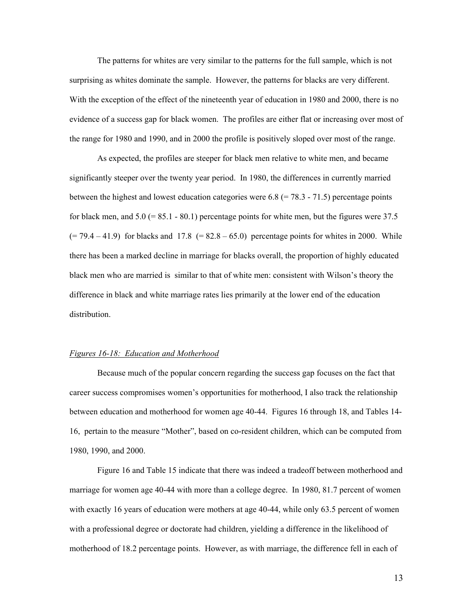The patterns for whites are very similar to the patterns for the full sample, which is not surprising as whites dominate the sample. However, the patterns for blacks are very different. With the exception of the effect of the nineteenth year of education in 1980 and 2000, there is no evidence of a success gap for black women. The profiles are either flat or increasing over most of the range for 1980 and 1990, and in 2000 the profile is positively sloped over most of the range.

As expected, the profiles are steeper for black men relative to white men, and became significantly steeper over the twenty year period. In 1980, the differences in currently married between the highest and lowest education categories were  $6.8$  (= 78.3 - 71.5) percentage points for black men, and  $5.0$  (= 85.1 - 80.1) percentage points for white men, but the figures were 37.5  $(= 79.4 - 41.9)$  for blacks and 17.8  $(= 82.8 - 65.0)$  percentage points for whites in 2000. While there has been a marked decline in marriage for blacks overall, the proportion of highly educated black men who are married is similar to that of white men: consistent with Wilson's theory the difference in black and white marriage rates lies primarily at the lower end of the education distribution.

#### *Figures 16-18: Education and Motherhood*

 Because much of the popular concern regarding the success gap focuses on the fact that career success compromises women's opportunities for motherhood, I also track the relationship between education and motherhood for women age 40-44. Figures 16 through 18, and Tables 14- 16, pertain to the measure "Mother", based on co-resident children, which can be computed from 1980, 1990, and 2000.

 Figure 16 and Table 15 indicate that there was indeed a tradeoff between motherhood and marriage for women age 40-44 with more than a college degree. In 1980, 81.7 percent of women with exactly 16 years of education were mothers at age 40-44, while only 63.5 percent of women with a professional degree or doctorate had children, yielding a difference in the likelihood of motherhood of 18.2 percentage points. However, as with marriage, the difference fell in each of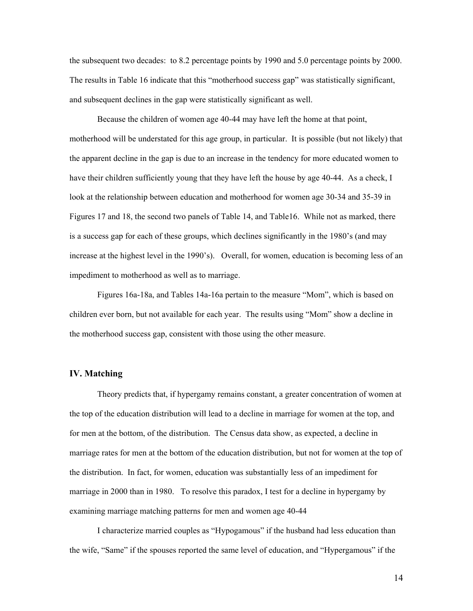the subsequent two decades: to 8.2 percentage points by 1990 and 5.0 percentage points by 2000. The results in Table 16 indicate that this "motherhood success gap" was statistically significant, and subsequent declines in the gap were statistically significant as well.

 Because the children of women age 40-44 may have left the home at that point, motherhood will be understated for this age group, in particular. It is possible (but not likely) that the apparent decline in the gap is due to an increase in the tendency for more educated women to have their children sufficiently young that they have left the house by age 40-44. As a check, I look at the relationship between education and motherhood for women age 30-34 and 35-39 in Figures 17 and 18, the second two panels of Table 14, and Table16. While not as marked, there is a success gap for each of these groups, which declines significantly in the 1980's (and may increase at the highest level in the 1990's). Overall, for women, education is becoming less of an impediment to motherhood as well as to marriage.

 Figures 16a-18a, and Tables 14a-16a pertain to the measure "Mom", which is based on children ever born, but not available for each year. The results using "Mom" show a decline in the motherhood success gap, consistent with those using the other measure.

#### **IV. Matching**

 Theory predicts that, if hypergamy remains constant, a greater concentration of women at the top of the education distribution will lead to a decline in marriage for women at the top, and for men at the bottom, of the distribution. The Census data show, as expected, a decline in marriage rates for men at the bottom of the education distribution, but not for women at the top of the distribution. In fact, for women, education was substantially less of an impediment for marriage in 2000 than in 1980. To resolve this paradox, I test for a decline in hypergamy by examining marriage matching patterns for men and women age 40-44

 I characterize married couples as "Hypogamous" if the husband had less education than the wife, "Same" if the spouses reported the same level of education, and "Hypergamous" if the

14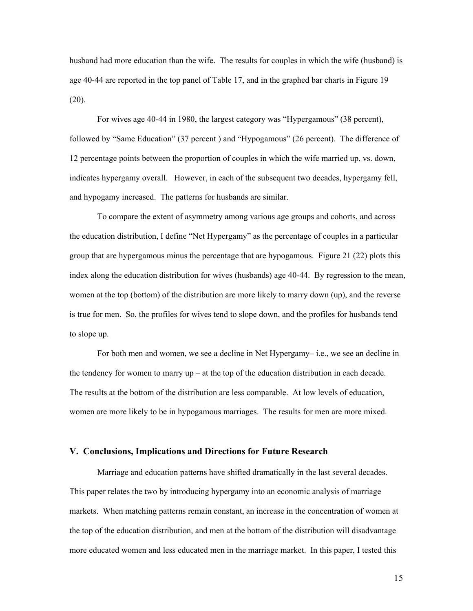husband had more education than the wife. The results for couples in which the wife (husband) is age 40-44 are reported in the top panel of Table 17, and in the graphed bar charts in Figure 19  $(20)$ .

 For wives age 40-44 in 1980, the largest category was "Hypergamous" (38 percent), followed by "Same Education" (37 percent ) and "Hypogamous" (26 percent). The difference of 12 percentage points between the proportion of couples in which the wife married up, vs. down, indicates hypergamy overall. However, in each of the subsequent two decades, hypergamy fell, and hypogamy increased. The patterns for husbands are similar.

 To compare the extent of asymmetry among various age groups and cohorts, and across the education distribution, I define "Net Hypergamy" as the percentage of couples in a particular group that are hypergamous minus the percentage that are hypogamous. Figure 21 (22) plots this index along the education distribution for wives (husbands) age 40-44. By regression to the mean, women at the top (bottom) of the distribution are more likely to marry down (up), and the reverse is true for men. So, the profiles for wives tend to slope down, and the profiles for husbands tend to slope up.

 For both men and women, we see a decline in Net Hypergamy– i.e., we see an decline in the tendency for women to marry up – at the top of the education distribution in each decade. The results at the bottom of the distribution are less comparable. At low levels of education, women are more likely to be in hypogamous marriages. The results for men are more mixed.

#### **V. Conclusions, Implications and Directions for Future Research**

 Marriage and education patterns have shifted dramatically in the last several decades. This paper relates the two by introducing hypergamy into an economic analysis of marriage markets. When matching patterns remain constant, an increase in the concentration of women at the top of the education distribution, and men at the bottom of the distribution will disadvantage more educated women and less educated men in the marriage market. In this paper, I tested this

15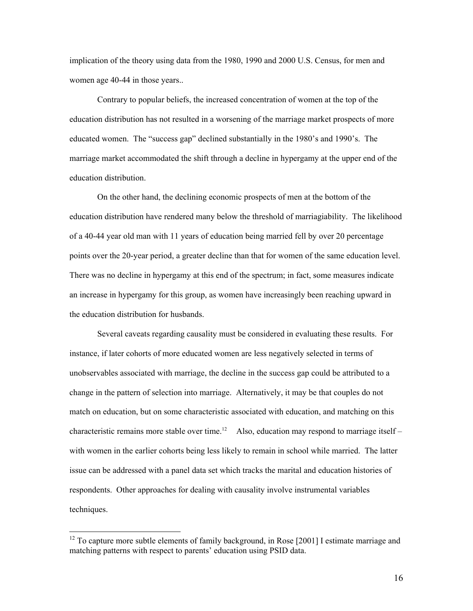implication of the theory using data from the 1980, 1990 and 2000 U.S. Census, for men and women age 40-44 in those years..

 Contrary to popular beliefs, the increased concentration of women at the top of the education distribution has not resulted in a worsening of the marriage market prospects of more educated women. The "success gap" declined substantially in the 1980's and 1990's. The marriage market accommodated the shift through a decline in hypergamy at the upper end of the education distribution.

 On the other hand, the declining economic prospects of men at the bottom of the education distribution have rendered many below the threshold of marriagiability. The likelihood of a 40-44 year old man with 11 years of education being married fell by over 20 percentage points over the 20-year period, a greater decline than that for women of the same education level. There was no decline in hypergamy at this end of the spectrum; in fact, some measures indicate an increase in hypergamy for this group, as women have increasingly been reaching upward in the education distribution for husbands.

 Several caveats regarding causality must be considered in evaluating these results. For instance, if later cohorts of more educated women are less negatively selected in terms of unobservables associated with marriage, the decline in the success gap could be attributed to a change in the pattern of selection into marriage. Alternatively, it may be that couples do not match on education, but on some characteristic associated with education, and matching on this characteristic remains more stable over time.<sup>12</sup> Also, education may respond to marriage itself – with women in the earlier cohorts being less likely to remain in school while married. The latter issue can be addressed with a panel data set which tracks the marital and education histories of respondents. Other approaches for dealing with causality involve instrumental variables techniques.

 $12$  To capture more subtle elements of family background, in Rose [2001] I estimate marriage and matching patterns with respect to parents' education using PSID data.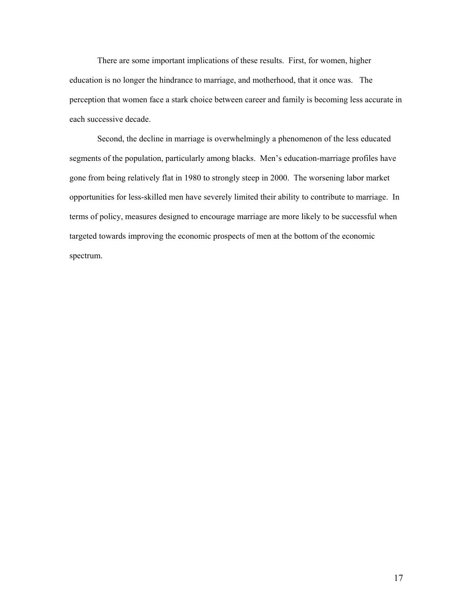There are some important implications of these results. First, for women, higher education is no longer the hindrance to marriage, and motherhood, that it once was. The perception that women face a stark choice between career and family is becoming less accurate in each successive decade.

 Second, the decline in marriage is overwhelmingly a phenomenon of the less educated segments of the population, particularly among blacks. Men's education-marriage profiles have gone from being relatively flat in 1980 to strongly steep in 2000. The worsening labor market opportunities for less-skilled men have severely limited their ability to contribute to marriage. In terms of policy, measures designed to encourage marriage are more likely to be successful when targeted towards improving the economic prospects of men at the bottom of the economic spectrum.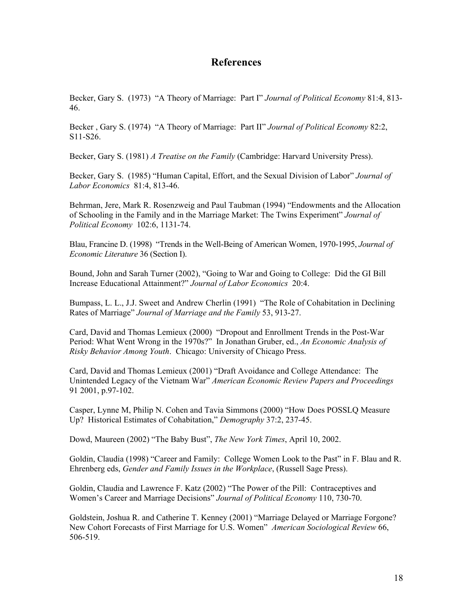# **References**

Becker, Gary S. (1973) "A Theory of Marriage: Part I" *Journal of Political Economy* 81:4, 813- 46.

Becker , Gary S. (1974) "A Theory of Marriage: Part II" *Journal of Political Economy* 82:2, S11-S26.

Becker, Gary S. (1981) *A Treatise on the Family* (Cambridge: Harvard University Press).

Becker, Gary S. (1985) "Human Capital, Effort, and the Sexual Division of Labor" *Journal of Labor Economics* 81:4, 813-46.

Behrman, Jere, Mark R. Rosenzweig and Paul Taubman (1994) "Endowments and the Allocation of Schooling in the Family and in the Marriage Market: The Twins Experiment" *Journal of Political Economy* 102:6, 1131-74.

Blau, Francine D. (1998) "Trends in the Well-Being of American Women, 1970-1995, *Journal of Economic Literature* 36 (Section I).

Bound, John and Sarah Turner (2002), "Going to War and Going to College: Did the GI Bill Increase Educational Attainment?" *Journal of Labor Economics* 20:4.

Bumpass, L. L., J.J. Sweet and Andrew Cherlin (1991) "The Role of Cohabitation in Declining Rates of Marriage" *Journal of Marriage and the Family* 53, 913-27.

Card, David and Thomas Lemieux (2000) "Dropout and Enrollment Trends in the Post-War Period: What Went Wrong in the 1970s?" In Jonathan Gruber, ed., *An Economic Analysis of Risky Behavior Among Youth*. Chicago: University of Chicago Press.

Card, David and Thomas Lemieux (2001) "Draft Avoidance and College Attendance: The Unintended Legacy of the Vietnam War" *American Economic Review Papers and Proceedings*  91 2001, p.97-102.

Casper, Lynne M, Philip N. Cohen and Tavia Simmons (2000) "How Does POSSLQ Measure Up? Historical Estimates of Cohabitation," *Demography* 37:2, 237-45.

Dowd, Maureen (2002) "The Baby Bust", *The New York Times*, April 10, 2002.

Goldin, Claudia (1998) "Career and Family: College Women Look to the Past" in F. Blau and R. Ehrenberg eds, *Gender and Family Issues in the Workplace*, (Russell Sage Press).

Goldin, Claudia and Lawrence F. Katz (2002) "The Power of the Pill: Contraceptives and Women's Career and Marriage Decisions" *Journal of Political Economy* 110, 730-70.

Goldstein, Joshua R. and Catherine T. Kenney (2001) "Marriage Delayed or Marriage Forgone? New Cohort Forecasts of First Marriage for U.S. Women" *American Sociological Review* 66, 506-519.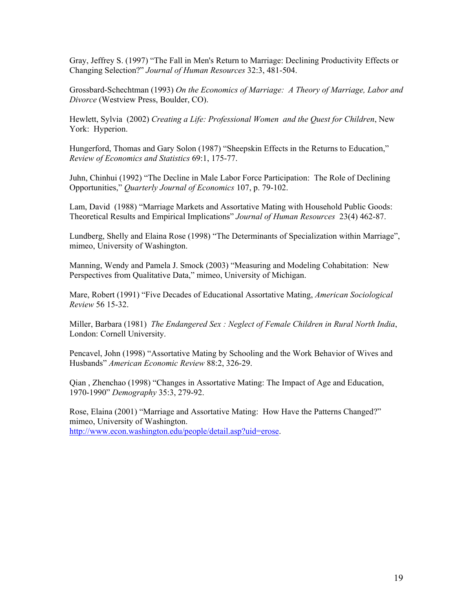Gray, Jeffrey S. (1997) "The Fall in Men's Return to Marriage: Declining Productivity Effects or Changing Selection?" *Journal of Human Resources* 32:3, 481-504.

Grossbard-Schechtman (1993) *On the Economics of Marriage: A Theory of Marriage, Labor and Divorce* (Westview Press, Boulder, CO).

Hewlett, Sylvia (2002) *Creating a Life: Professional Women and the Quest for Children*, New York: Hyperion.

Hungerford, Thomas and Gary Solon (1987) "Sheepskin Effects in the Returns to Education," *Review of Economics and Statistics* 69:1, 175-77.

Juhn, Chinhui (1992) "The Decline in Male Labor Force Participation: The Role of Declining Opportunities," *Quarterly Journal of Economics* 107, p. 79-102.

Lam, David (1988) "Marriage Markets and Assortative Mating with Household Public Goods: Theoretical Results and Empirical Implications" *Journal of Human Resources* 23(4) 462-87.

Lundberg, Shelly and Elaina Rose (1998) "The Determinants of Specialization within Marriage", mimeo, University of Washington.

Manning, Wendy and Pamela J. Smock (2003) "Measuring and Modeling Cohabitation: New Perspectives from Qualitative Data," mimeo, University of Michigan.

Mare, Robert (1991) "Five Decades of Educational Assortative Mating, *American Sociological Review* 56 15-32.

Miller, Barbara (1981) *The Endangered Sex : Neglect of Female Children in Rural North India*, London: Cornell University.

Pencavel, John (1998) "Assortative Mating by Schooling and the Work Behavior of Wives and Husbands" *American Economic Review* 88:2, 326-29.

Qian , Zhenchao (1998) "Changes in Assortative Mating: The Impact of Age and Education, 1970-1990" *Demography* 35:3, 279-92.

Rose, Elaina (2001) "Marriage and Assortative Mating: How Have the Patterns Changed?" mimeo, University of Washington. http://www.econ.washington.edu/people/detail.asp?uid=erose.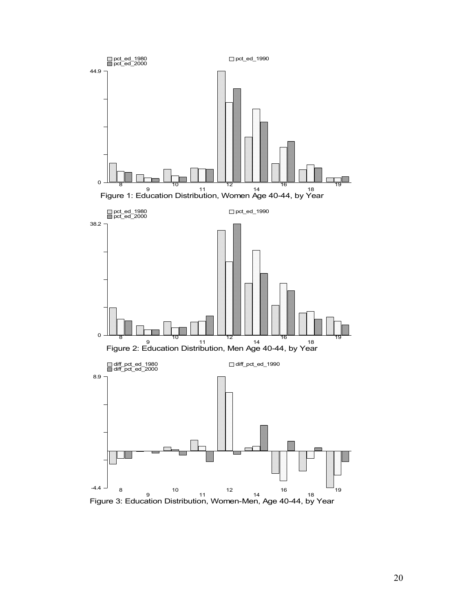

<sup>9</sup><br>Figure 3: Education Distribution, Women-Men, Age 40-44, by Year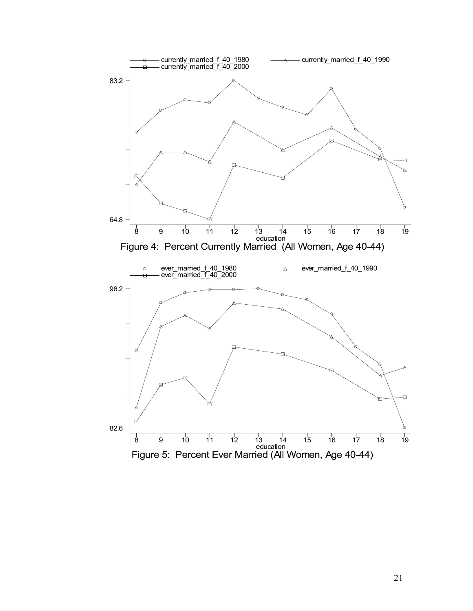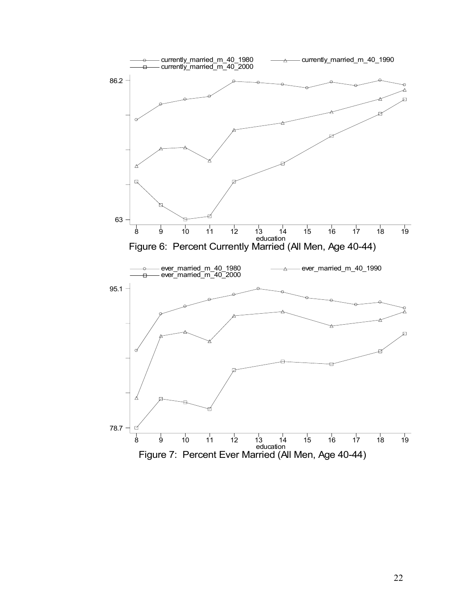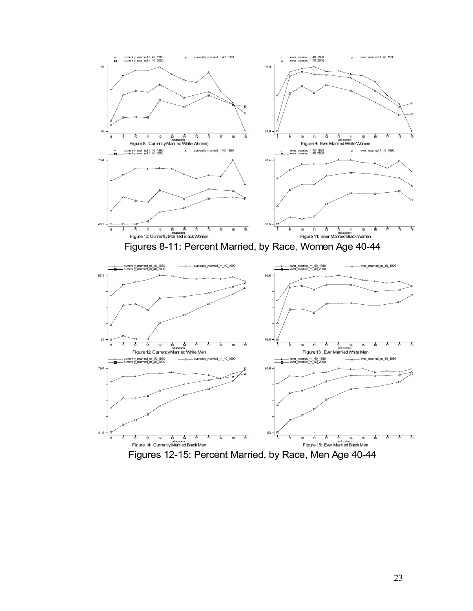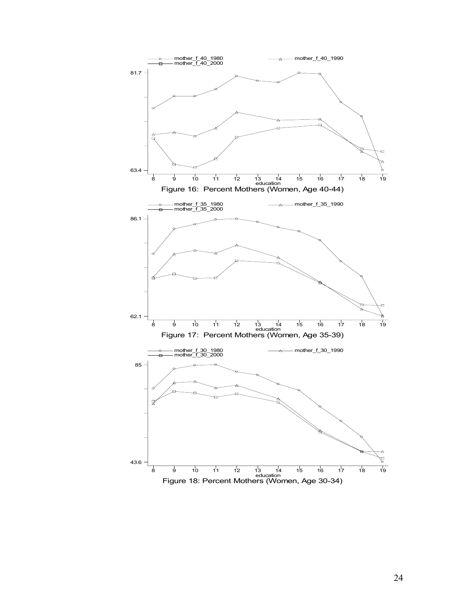

24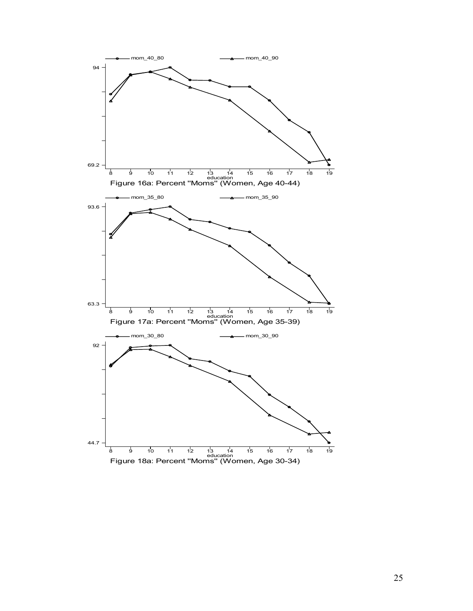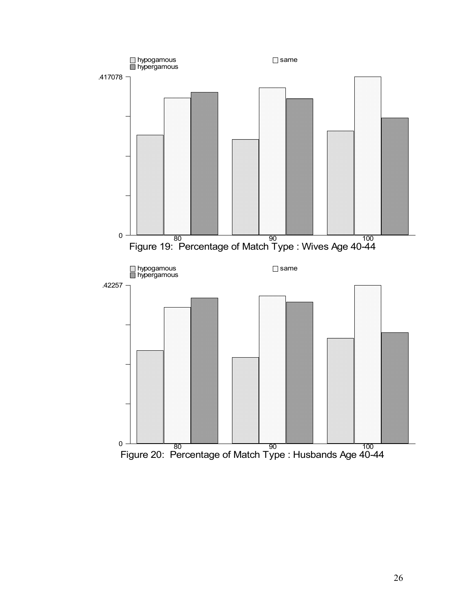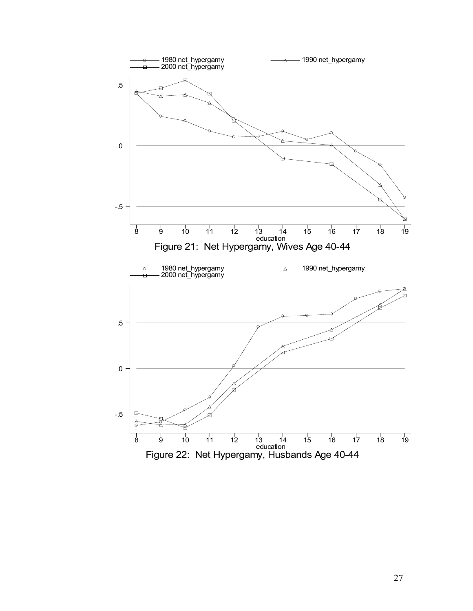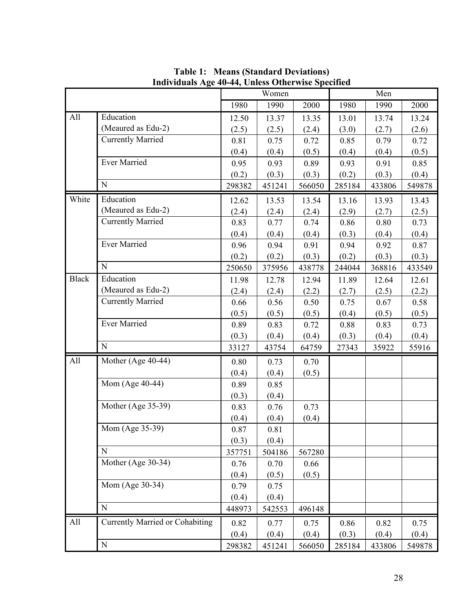|              |                                        |        | Women  |        |        | Men    |        |
|--------------|----------------------------------------|--------|--------|--------|--------|--------|--------|
|              |                                        | 1980   | 1990   | 2000   | 1980   | 1990   | 2000   |
| All          | Education                              | 12.50  | 13.37  | 13.35  | 13.01  | 13.74  | 13.24  |
|              | (Meaured as Edu-2)                     | (2.5)  | (2.5)  | (2.4)  | (3.0)  | (2.7)  | (2.6)  |
|              | <b>Currently Married</b>               | 0.81   | 0.75   | 0.72   | 0.85   | 0.79   | 0.72   |
|              |                                        | (0.4)  | (0.4)  | (0.5)  | (0.4)  | (0.4)  | (0.5)  |
|              | <b>Ever Married</b>                    | 0.95   | 0.93   | 0.89   | 0.93   | 0.91   | 0.85   |
|              |                                        | (0.2)  | (0.3)  | (0.3)  | (0.2)  | (0.3)  | (0.4)  |
|              | N                                      | 298382 | 451241 | 566050 | 285184 | 433806 | 549878 |
| White        | Education                              | 12.62  | 13.53  | 13.54  | 13.16  | 13.93  | 13.43  |
|              | (Meaured as Edu-2)                     | (2.4)  | (2.4)  | (2.4)  | (2.9)  | (2.7)  | (2.5)  |
|              | <b>Currently Married</b>               | 0.83   | 0.77   | 0.74   | 0.86   | 0.80   | 0.73   |
|              |                                        | (0.4)  | (0.4)  | (0.4)  | (0.3)  | (0.4)  | (0.4)  |
|              | <b>Ever Married</b>                    | 0.96   | 0.94   | 0.91   | 0.94   | 0.92   | 0.87   |
|              |                                        | (0.2)  | (0.2)  | (0.3)  | (0.2)  | (0.3)  | (0.3)  |
|              | N                                      | 250650 | 375956 | 438778 | 244044 | 368816 | 433549 |
| <b>Black</b> | Education                              | 11.98  | 12.78  | 12.94  | 11.89  | 12.64  | 12.61  |
|              | (Meaured as Edu-2)                     | (2.4)  | (2.4)  | (2.2)  | (2.7)  | (2.5)  | (2.2)  |
|              | <b>Currently Married</b>               | 0.66   | 0.56   | 0.50   | 0.75   | 0.67   | 0.58   |
|              |                                        | (0.5)  | (0.5)  | (0.5)  | (0.4)  | (0.5)  | (0.5)  |
|              | <b>Ever Married</b>                    | 0.89   | 0.83   | 0.72   | 0.88   | 0.83   | 0.73   |
|              |                                        | (0.3)  | (0.4)  | (0.4)  | (0.3)  | (0.4)  | (0.4)  |
|              | $\mathbf N$                            | 33127  | 43754  | 64759  | 27343  | 35922  | 55916  |
| All          | Mother (Age 40-44)                     | 0.80   | 0.73   | 0.70   |        |        |        |
|              |                                        | (0.4)  | (0.4)  | (0.5)  |        |        |        |
|              | Mom (Age 40-44)                        | 0.89   | 0.85   |        |        |        |        |
|              |                                        | (0.3)  | (0.4)  |        |        |        |        |
|              | Mother (Age 35-39)                     | 0.83   | 0.76   | 0.73   |        |        |        |
|              |                                        | (0.4)  | (0.4)  | (0.4)  |        |        |        |
|              | Mom (Age 35-39)                        | 0.87   | 0.81   |        |        |        |        |
|              |                                        | (0.3)  | (0.4)  |        |        |        |        |
|              | N                                      | 357751 | 504186 | 567280 |        |        |        |
|              | Mother (Age 30-34)                     | 0.76   | 0.70   | 0.66   |        |        |        |
|              |                                        | (0.4)  | (0.5)  | (0.5)  |        |        |        |
|              | Mom (Age 30-34)                        | 0.79   | 0.75   |        |        |        |        |
|              |                                        | (0.4)  | (0.4)  |        |        |        |        |
|              | $\mathbf N$                            | 448973 | 542553 | 496148 |        |        |        |
| All          | <b>Currently Married or Cohabiting</b> | 0.82   | 0.77   | 0.75   | 0.86   | 0.82   | 0.75   |
|              |                                        | (0.4)  | (0.4)  | (0.4)  | (0.3)  | (0.4)  | (0.4)  |
|              | ${\bf N}$                              | 298382 | 451241 | 566050 | 285184 | 433806 | 549878 |

**Table 1: Means (Standard Deviations) Individuals Age 40-44, Unless Otherwise Specified**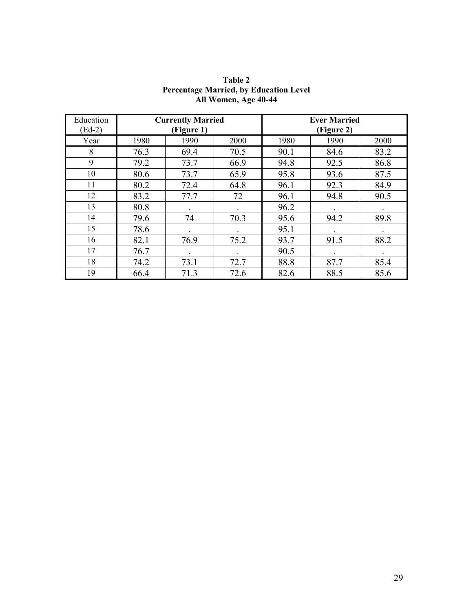| Education |      | <b>Currently Married</b> |      | <b>Ever Married</b> |            |      |  |  |
|-----------|------|--------------------------|------|---------------------|------------|------|--|--|
| $(Ed-2)$  |      | (Figure 1)               |      |                     | (Figure 2) |      |  |  |
| Year      | 1980 | 1990                     | 2000 | 1980                | 1990       | 2000 |  |  |
| 8         | 76.3 | 69.4                     | 70.5 | 90.1                | 84.6       | 83.2 |  |  |
| 9         | 79.2 | 73.7                     | 66.9 | 94.8                | 92.5       | 86.8 |  |  |
| 10        | 80.6 | 73.7                     | 65.9 | 95.8                | 93.6       | 87.5 |  |  |
| 11        | 80.2 | 72.4                     | 64.8 | 96.1                | 92.3       | 84.9 |  |  |
| 12        | 83.2 | 77.7                     | 72   | 96.1                | 94.8       | 90.5 |  |  |
| 13        | 80.8 |                          |      | 96.2                |            |      |  |  |
| 14        | 79.6 | 74                       | 70.3 | 95.6                | 94.2       | 89.8 |  |  |
| 15        | 78.6 |                          |      | 95.1                |            |      |  |  |
| 16        | 82.1 | 76.9                     | 75.2 | 93.7                | 91.5       | 88.2 |  |  |
| 17        | 76.7 |                          |      | 90.5                |            |      |  |  |
| 18        | 74.2 | 73.1                     | 72.7 | 88.8                | 87.7       | 85.4 |  |  |
| 19        | 66.4 | 71.3                     | 72.6 | 82.6                | 88.5       | 85.6 |  |  |

**Table 2 Percentage Married, by Education Level All Women, Age 40-44**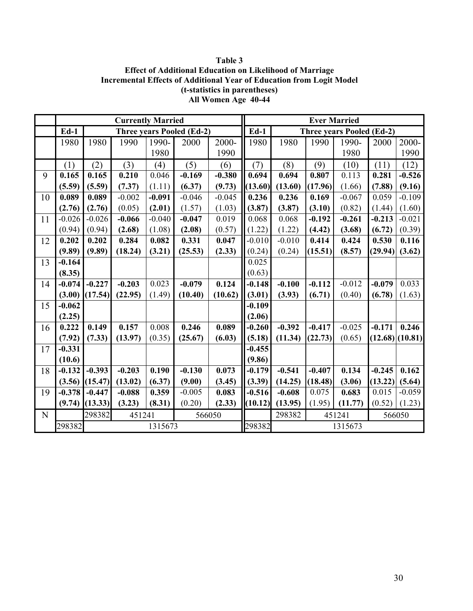**Table 3 Effect of Additional Education on Likelihood of Marriage Incremental Effects of Additional Year of Education from Logit Model (t-statistics in parentheses) All Women Age 40-44** 

|             |          |          | <b>Currently Married</b> |                  |                                  |          | <b>Ever Married</b> |                            |          |                                  |          |          |
|-------------|----------|----------|--------------------------|------------------|----------------------------------|----------|---------------------|----------------------------|----------|----------------------------------|----------|----------|
|             | $Ed-1$   |          |                          |                  | <b>Three years Pooled (Ed-2)</b> |          | $Ed-1$              |                            |          | <b>Three years Pooled (Ed-2)</b> |          |          |
|             | 1980     | 1980     | 1990                     | 1990-            | 2000                             | 2000-    | 1980                | 1980                       | 1990     | 1990-                            | 2000     | 2000-    |
|             |          |          |                          | 1980             |                                  | 1990     |                     |                            |          | 1980                             |          | 1990     |
|             | (1)      | (2)      | (3)                      | $\left(4\right)$ | (5)                              | (6)      | (7)                 | (8)                        | (9)      | (10)                             | (11)     | (12)     |
| 9           | 0.165    | 0.165    | 0.210                    | 0.046            | $-0.169$                         | $-0.380$ | 0.694               | 0.694                      | 0.807    | 0.113                            | 0.281    | $-0.526$ |
|             | (5.59)   | (5.59)   | (7.37)                   | (1.11)           | (6.37)                           | (9.73)   | (13.60)             | (13.60)                    | (17.96)  | (1.66)                           | (7.88)   | (9.16)   |
| 10          | 0.089    | 0.089    | $-0.002$                 | $-0.091$         | $-0.046$                         | $-0.045$ | 0.236               | 0.236                      | 0.169    | $-0.067$                         | 0.059    | $-0.109$ |
|             | (2.76)   | (2.76)   | (0.05)                   | (2.01)           | (1.57)                           | (1.03)   | (3.87)              | (3.87)                     | (3.10)   | (0.82)                           | (1.44)   | (1.60)   |
| 11          | $-0.026$ | $-0.026$ | $-0.066$                 | $-0.040$         | $-0.047$                         | 0.019    | 0.068               | 0.068                      | $-0.192$ | $-0.261$                         | $-0.213$ | $-0.021$ |
|             | (0.94)   | (0.94)   | (2.68)                   | (1.08)           | (2.08)                           | (0.57)   | (1.22)              | (1.22)                     | (4.42)   | (3.68)                           | (6.72)   | (0.39)   |
| 12          | 0.202    | 0.202    | 0.284                    | 0.082            | 0.331                            | 0.047    | $-0.010$            | $-0.010$                   | 0.414    | 0.424                            | 0.530    | 0.116    |
|             | (9.89)   | (9.89)   | (18.24)                  | (3.21)           | (25.53)                          | (2.33)   | (0.24)              | (0.24)                     | (15.51)  | (8.57)                           | (29.94)  | (3.62)   |
| 13          | $-0.164$ |          |                          |                  |                                  |          | 0.025               |                            |          |                                  |          |          |
|             | (8.35)   |          |                          |                  |                                  |          | (0.63)              |                            |          |                                  |          |          |
| 14          | $-0.074$ | $-0.227$ | $-0.203$                 | 0.023            | $-0.079$                         | 0.124    | $-0.148$            | $-0.100$                   | $-0.112$ | $-0.012$                         | $-0.079$ | 0.033    |
|             | (3.00)   | (17.54)  | (22.95)                  | (1.49)           | (10.40)                          | (10.62)  | (3.01)              | (3.93)                     | (6.71)   | (0.40)                           | (6.78)   | (1.63)   |
| 15          | $-0.062$ |          |                          |                  |                                  |          | $-0.109$            |                            |          |                                  |          |          |
|             | (2.25)   |          |                          |                  |                                  |          | (2.06)              |                            |          |                                  |          |          |
| 16          | 0.222    | 0.149    | 0.157                    | 0.008            | 0.246                            | 0.089    | $-0.260$            | $-0.392$                   | $-0.417$ | $-0.025$                         | $-0.171$ | 0.246    |
|             | (7.92)   | (7.33)   | (13.97)                  | (0.35)           | (25.67)                          | (6.03)   | (5.18)              | (11.34)                    | (22.73)  | (0.65)                           | (12.68)  | (10.81)  |
| 17          | $-0.331$ |          |                          |                  |                                  |          | $-0.455$            |                            |          |                                  |          |          |
|             | (10.6)   |          |                          |                  |                                  |          | (9.86)              |                            |          |                                  |          |          |
| 18          | $-0.132$ | $-0.393$ | $-0.203$                 | 0.190            | $-0.130$                         | 0.073    | $-0.179$            | $-0.541$                   | $-0.407$ | 0.134                            | $-0.245$ | 0.162    |
|             | (3.56)   | (15.47)  | (13.02)                  | (6.37)           | (9.00)                           | (3.45)   | (3.39)              | (14.25)                    | (18.48)  | (3.06)                           | (13.22)  | (5.64)   |
| 19          | $-0.378$ | $-0.447$ | $-0.088$                 | 0.359            | $-0.005$                         | 0.083    | $-0.516$            | $-0.608$                   | 0.075    | 0.683                            | 0.015    | $-0.059$ |
|             | (9.74)   | (13.33)  | (3.23)                   | (8.31)           | (0.20)                           | (2.33)   | (10.12)             | (13.95)                    | (1.95)   | (11.77)                          | (0.52)   | (1.23)   |
| $\mathbf N$ |          | 298382   | 451241<br>566050         |                  |                                  |          |                     | 298382<br>451241<br>566050 |          |                                  |          |          |
|             | 298382   |          |                          | 1315673          |                                  |          | 298382              | 1315673                    |          |                                  |          |          |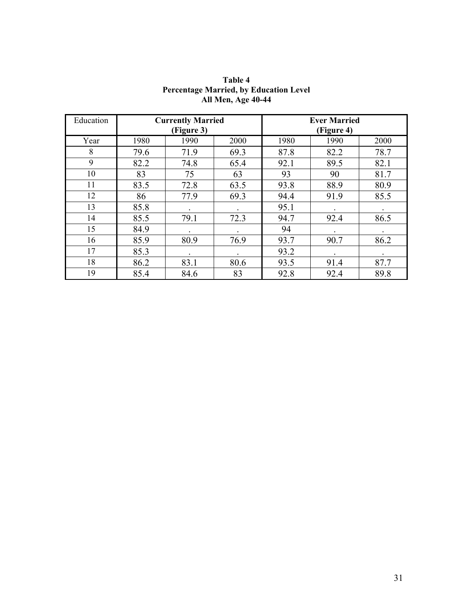| Education |      | <b>Currently Married</b><br>(Figure 3) |      |      | <b>Ever Married</b><br>(Figure 4) |      |
|-----------|------|----------------------------------------|------|------|-----------------------------------|------|
| Year      | 1980 | 1990                                   | 2000 | 1980 | 1990                              | 2000 |
| 8         | 79.6 | 71.9                                   | 69.3 | 87.8 | 82.2                              | 78.7 |
| 9         | 82.2 | 74.8                                   | 65.4 | 92.1 | 89.5                              | 82.1 |
| 10        | 83   | 75                                     | 63   | 93   | 90                                | 81.7 |
| 11        | 83.5 | 72.8                                   | 63.5 | 93.8 | 88.9                              | 80.9 |
| 12        | 86   | 77.9                                   | 69.3 | 94.4 | 91.9                              | 85.5 |
| 13        | 85.8 |                                        |      | 95.1 |                                   |      |
| 14        | 85.5 | 79.1                                   | 72.3 | 94.7 | 92.4                              | 86.5 |
| 15        | 84.9 |                                        |      | 94   |                                   |      |
| 16        | 85.9 | 80.9                                   | 76.9 | 93.7 | 90.7                              | 86.2 |
| 17        | 85.3 |                                        |      | 93.2 |                                   |      |
| 18        | 86.2 | 83.1                                   | 80.6 | 93.5 | 91.4                              | 87.7 |
| 19        | 85.4 | 84.6                                   | 83   | 92.8 | 92.4                              | 89.8 |

**Table 4 Percentage Married, by Education Level All Men, Age 40-44**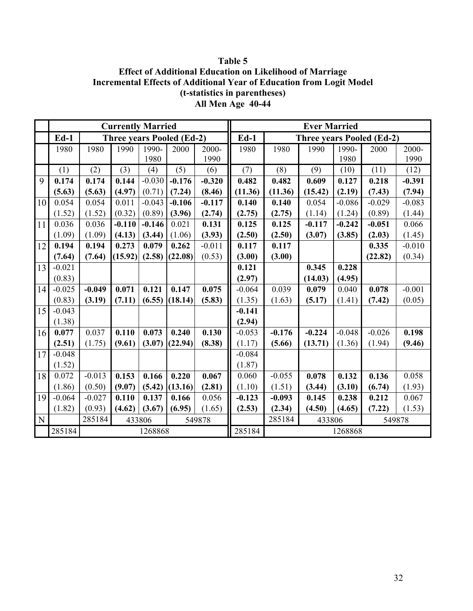**Table 5 Effect of Additional Education on Likelihood of Marriage Incremental Effects of Additional Year of Education from Logit Model (t-statistics in parentheses) All Men Age 40-44** 

|    |          |          |          | <b>Currently Married</b> |                                  |          |          |          | <b>Ever Married</b> |          |                                  |          |
|----|----------|----------|----------|--------------------------|----------------------------------|----------|----------|----------|---------------------|----------|----------------------------------|----------|
|    | $Ed-1$   |          |          |                          | <b>Three years Pooled (Ed-2)</b> |          | $Ed-1$   |          |                     |          | <b>Three years Pooled (Ed-2)</b> |          |
|    | 1980     | 1980     | 1990     | 1990-                    | 2000                             | 2000-    | 1980     | 1980     | 1990                | 1990-    | 2000                             | 2000-    |
|    |          |          |          | 1980                     |                                  | 1990     |          |          |                     | 1980     |                                  | 1990     |
|    | (1)      | (2)      | (3)      | (4)                      | (5)                              | (6)      | (7)      | (8)      | (9)                 | (10)     | (11)                             | (12)     |
| 9  | 0.174    | 0.174    | 0.144    | $-0.030$                 | $-0.176$                         | $-0.320$ | 0.482    | 0.482    | 0.609               | 0.127    | 0.218                            | $-0.391$ |
|    | (5.63)   | (5.63)   | (4.97)   | (0.71)                   | (7.24)                           | (8.46)   | (11.36)  | (11.36)  | (15.42)             | (2.19)   | (7.43)                           | (7.94)   |
| 10 | 0.054    | 0.054    | 0.011    | $-0.043$                 | $-0.106$                         | $-0.117$ | 0.140    | 0.140    | 0.054               | $-0.086$ | $-0.029$                         | $-0.083$ |
|    | (1.52)   | (1.52)   | (0.32)   | (0.89)                   | (3.96)                           | (2.74)   | (2.75)   | (2.75)   | (1.14)              | (1.24)   | (0.89)                           | (1.44)   |
| 11 | 0.036    | 0.036    | $-0.110$ | $-0.146$                 | 0.021                            | 0.131    | 0.125    | 0.125    | $-0.117$            | $-0.242$ | $-0.051$                         | 0.066    |
|    | (1.09)   | (1.09)   | (4.13)   | (3.44)                   | (1.06)                           | (3.93)   | (2.50)   | (2.50)   | (3.07)              | (3.85)   | (2.03)                           | (1.45)   |
| 12 | 0.194    | 0.194    | 0.273    | 0.079                    | 0.262                            | $-0.011$ | 0.117    | 0.117    |                     |          | 0.335                            | $-0.010$ |
|    | (7.64)   | (7.64)   | (15.92)  | (2.58)                   | (22.08)                          | (0.53)   | (3.00)   | (3.00)   |                     |          | (22.82)                          | (0.34)   |
| 13 | $-0.021$ |          |          |                          |                                  |          | 0.121    |          | 0.345               | 0.228    |                                  |          |
|    | (0.83)   |          |          |                          |                                  |          | (2.97)   |          | (14.03)             | (4.95)   |                                  |          |
| 14 | $-0.025$ | $-0.049$ | 0.071    | 0.121                    | 0.147                            | 0.075    | $-0.064$ | 0.039    | 0.079               | 0.040    | 0.078                            | $-0.001$ |
|    | (0.83)   | (3.19)   | (7.11)   | (6.55)                   | (18.14)                          | (5.83)   | (1.35)   | (1.63)   | (5.17)              | (1.41)   | (7.42)                           | (0.05)   |
| 15 | $-0.043$ |          |          |                          |                                  |          | $-0.141$ |          |                     |          |                                  |          |
|    | (1.38)   |          |          |                          |                                  |          | (2.94)   |          |                     |          |                                  |          |
| 16 | 0.077    | 0.037    | 0.110    | 0.073                    | 0.240                            | 0.130    | $-0.053$ | $-0.176$ | $-0.224$            | $-0.048$ | $-0.026$                         | 0.198    |
|    | (2.51)   | (1.75)   | (9.61)   | (3.07)                   | (22.94)                          | (8.38)   | (1.17)   | (5.66)   | (13.71)             | (1.36)   | (1.94)                           | (9.46)   |
| 17 | $-0.048$ |          |          |                          |                                  |          | $-0.084$ |          |                     |          |                                  |          |
|    | (1.52)   |          |          |                          |                                  |          | (1.87)   |          |                     |          |                                  |          |
| 18 | 0.072    | $-0.013$ | 0.153    | 0.166                    | 0.220                            | 0.067    | 0.060    | $-0.055$ | 0.078               | 0.132    | 0.136                            | 0.058    |
|    | (1.86)   | (0.50)   | (9.07)   | (5.42)                   | (13.16)                          | (2.81)   | (1.10)   | (1.51)   | (3.44)              | (3.10)   | (6.74)                           | (1.93)   |
| 19 | $-0.064$ | $-0.027$ | 0.110    | 0.137                    | 0.166                            | 0.056    | $-0.123$ | $-0.093$ | 0.145               | 0.238    | 0.212                            | 0.067    |
|    | (1.82)   | (0.93)   | (4.62)   | (3.67)                   | (6.95)                           | (1.65)   | (2.53)   | (2.34)   | (4.50)              | (4.65)   | (7.22)                           | (1.53)   |
| N  |          | 285184   |          | 433806                   |                                  | 549878   |          | 285184   | 433806<br>549878    |          |                                  |          |
|    | 285184   |          |          | 1268868                  |                                  |          | 285184   |          |                     | 1268868  |                                  |          |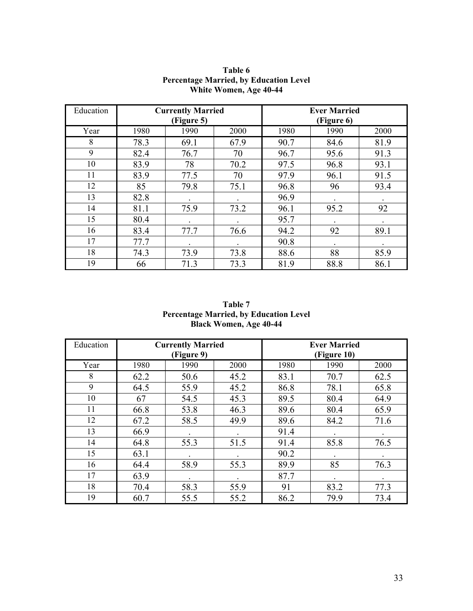| Education |      | <b>Currently Married</b><br>(Figure 5) |      | <b>Ever Married</b><br>(Figure 6) |      |      |  |
|-----------|------|----------------------------------------|------|-----------------------------------|------|------|--|
| Year      | 1980 | 1990                                   | 2000 | 1980                              | 1990 | 2000 |  |
| 8         | 78.3 | 69.1                                   | 67.9 | 90.7                              | 84.6 | 81.9 |  |
| 9         | 82.4 | 76.7                                   | 70   | 96.7                              | 95.6 | 91.3 |  |
| 10        | 83.9 | 78                                     | 70.2 | 97.5                              | 96.8 | 93.1 |  |
| 11        | 83.9 | 77.5                                   | 70   | 97.9                              | 96.1 | 91.5 |  |
| 12        | 85   | 79.8                                   | 75.1 | 96.8                              | 96   | 93.4 |  |
| 13        | 82.8 |                                        |      | 96.9                              |      |      |  |
| 14        | 81.1 | 75.9                                   | 73.2 | 96.1                              | 95.2 | 92   |  |
| 15        | 80.4 |                                        |      | 95.7                              |      |      |  |
| 16        | 83.4 | 77.7                                   | 76.6 | 94.2                              | 92   | 89.1 |  |
| 17        | 77.7 |                                        |      | 90.8                              |      |      |  |
| 18        | 74.3 | 73.9                                   | 73.8 | 88.6                              | 88   | 85.9 |  |
| 19        | 66   | 71.3                                   | 73.3 | 81.9                              | 88.8 | 86.1 |  |

#### **Table 6 Percentage Married, by Education Level White Women, Age 40-44**

**Table 7 Percentage Married, by Education Level Black Women, Age 40-44** 

| Education |      | <b>Currently Married</b><br>(Figure 9) |      | <b>Ever Married</b><br>(Figure 10) |      |      |  |
|-----------|------|----------------------------------------|------|------------------------------------|------|------|--|
| Year      | 1980 | 1990                                   | 2000 | 1980                               | 1990 | 2000 |  |
| 8         | 62.2 | 50.6                                   | 45.2 | 83.1                               | 70.7 | 62.5 |  |
| 9         | 64.5 | 55.9                                   | 45.2 | 86.8                               | 78.1 | 65.8 |  |
| 10        | 67   | 54.5                                   | 45.3 | 89.5                               | 80.4 | 64.9 |  |
| 11        | 66.8 | 53.8                                   | 46.3 | 89.6                               | 80.4 | 65.9 |  |
| 12        | 67.2 | 58.5                                   | 49.9 | 89.6                               | 84.2 | 71.6 |  |
| 13        | 66.9 |                                        |      | 91.4                               |      | ٠    |  |
| 14        | 64.8 | 55.3                                   | 51.5 | 91.4                               | 85.8 | 76.5 |  |
| 15        | 63.1 |                                        |      | 90.2                               |      |      |  |
| 16        | 64.4 | 58.9                                   | 55.3 | 89.9                               | 85   | 76.3 |  |
| 17        | 63.9 |                                        |      | 87.7                               |      |      |  |
| 18        | 70.4 | 58.3                                   | 55.9 | 91                                 | 83.2 | 77.3 |  |
| 19        | 60.7 | 55.5                                   | 55.2 | 86.2                               | 79.9 | 73.4 |  |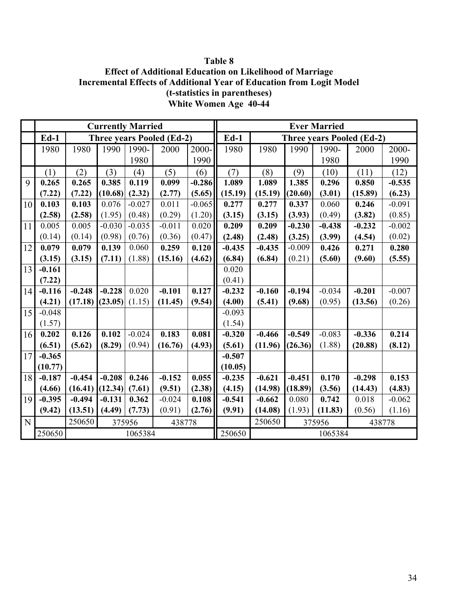**Table 8 Effect of Additional Education on Likelihood of Marriage Incremental Effects of Additional Year of Education from Logit Model (t-statistics in parentheses) White Women Age 40-44** 

|    |          |          |          | <b>Currently Married</b> |                                  |          |          |          |          | <b>Ever Married</b> |                                  |          |
|----|----------|----------|----------|--------------------------|----------------------------------|----------|----------|----------|----------|---------------------|----------------------------------|----------|
|    | $Ed-1$   |          |          |                          | <b>Three years Pooled (Ed-2)</b> |          | $Ed-1$   |          |          |                     | <b>Three years Pooled (Ed-2)</b> |          |
|    | 1980     | 1980     | 1990     | 1990-                    | 2000                             | 2000-    | 1980     | 1980     | 1990     | 1990-               | 2000                             | 2000-    |
|    |          |          |          | 1980                     |                                  | 1990     |          |          |          | 1980                |                                  | 1990     |
|    | (1)      | (2)      | (3)      | (4)                      | (5)                              | (6)      | (7)      | (8)      | (9)      | (10)                | (11)                             | (12)     |
| 9  | 0.265    | 0.265    | 0.385    | 0.119                    | 0.099                            | $-0.286$ | 1.089    | 1.089    | 1.385    | 0.296               | 0.850                            | $-0.535$ |
|    | (7.22)   | (7.22)   | (10.68)  | (2.32)                   | (2.77)                           | (5.65)   | (15.19)  | (15.19)  | (20.60)  | (3.01)              | (15.89)                          | (6.23)   |
| 10 | 0.103    | 0.103    | 0.076    | $-0.027$                 | 0.011                            | $-0.065$ | 0.277    | 0.277    | 0.337    | 0.060               | 0.246                            | $-0.091$ |
|    | (2.58)   | (2.58)   | (1.95)   | (0.48)                   | (0.29)                           | (1.20)   | (3.15)   | (3.15)   | (3.93)   | (0.49)              | (3.82)                           | (0.85)   |
| 11 | 0.005    | 0.005    | $-0.030$ | $-0.035$                 | $-0.011$                         | 0.020    | 0.209    | 0.209    | $-0.230$ | $-0.438$            | $-0.232$                         | $-0.002$ |
|    | (0.14)   | (0.14)   | (0.98)   | (0.76)                   | (0.36)                           | (0.47)   | (2.48)   | (2.48)   | (3.25)   | (3.99)              | (4.54)                           | (0.02)   |
| 12 | 0.079    | 0.079    | 0.139    | 0.060                    | 0.259                            | 0.120    | $-0.435$ | $-0.435$ | $-0.009$ | 0.426               | 0.271                            | 0.280    |
|    | (3.15)   | (3.15)   | (7.11)   | (1.88)                   | (15.16)                          | (4.62)   | (6.84)   | (6.84)   | (0.21)   | (5.60)              | (9.60)                           | (5.55)   |
| 13 | $-0.161$ |          |          |                          |                                  |          | 0.020    |          |          |                     |                                  |          |
|    | (7.22)   |          |          |                          |                                  |          | (0.41)   |          |          |                     |                                  |          |
| 14 | $-0.116$ | $-0.248$ | $-0.228$ | 0.020                    | $-0.101$                         | 0.127    | $-0.232$ | $-0.160$ | $-0.194$ | $-0.034$            | $-0.201$                         | $-0.007$ |
|    | (4.21)   | (17.18)  | (23.05)  | (1.15)                   | (11.45)                          | (9.54)   | (4.00)   | (5.41)   | (9.68)   | (0.95)              | (13.56)                          | (0.26)   |
| 15 | $-0.048$ |          |          |                          |                                  |          | $-0.093$ |          |          |                     |                                  |          |
|    | (1.57)   |          |          |                          |                                  |          | (1.54)   |          |          |                     |                                  |          |
| 16 | 0.202    | 0.126    | 0.102    | $-0.024$                 | 0.183                            | 0.081    | $-0.320$ | $-0.466$ | $-0.549$ | $-0.083$            | $-0.336$                         | 0.214    |
|    | (6.51)   | (5.62)   | (8.29)   | (0.94)                   | (16.76)                          | (4.93)   | (5.61)   | (11.96)  | (26.36)  | (1.88)              | (20.88)                          | (8.12)   |
| 17 | $-0.365$ |          |          |                          |                                  |          | $-0.507$ |          |          |                     |                                  |          |
|    | (10.77)  |          |          |                          |                                  |          | (10.05)  |          |          |                     |                                  |          |
| 18 | $-0.187$ | $-0.454$ | $-0.208$ | 0.246                    | $-0.152$                         | 0.055    | $-0.235$ | $-0.621$ | $-0.451$ | 0.170               | $-0.298$                         | 0.153    |
|    | (4.66)   | (16.41)  | (12.34)  | (7.61)                   | (9.51)                           | (2.38)   | (4.15)   | (14.98)  | (18.89)  | (3.56)              | (14.43)                          | (4.83)   |
| 19 | $-0.395$ | $-0.494$ | $-0.131$ | 0.362                    | $-0.024$                         | 0.108    | $-0.541$ | $-0.662$ | 0.080    | 0.742               | 0.018                            | $-0.062$ |
|    | (9.42)   | (13.51)  | (4.49)   | (7.73)                   | (0.91)                           | (2.76)   | (9.91)   | (14.08)  | (1.93)   | (11.83)             | (0.56)                           | (1.16)   |
| N  |          | 250650   | 375956   |                          | 438778                           |          |          | 250650   |          | 375956              | 438778                           |          |
|    | 250650   |          |          | 1065384                  |                                  |          | 250650   |          |          | 1065384             |                                  |          |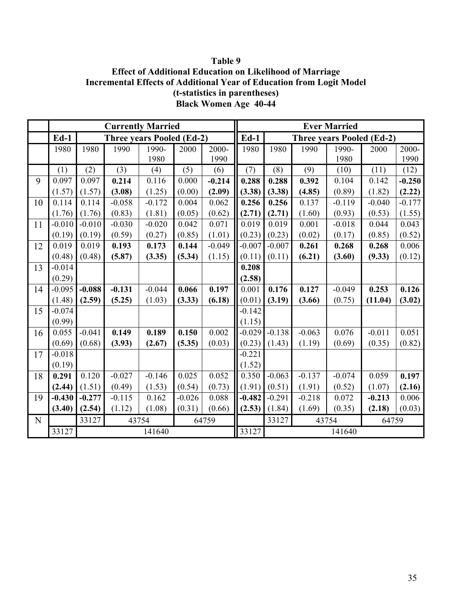# **Table 9 Effect of Additional Education on Likelihood of Marriage Incremental Effects of Additional Year of Education from Logit Model (t-statistics in parentheses) Black Women Age 40-44**

|    |          |          | <b>Currently Married</b>         |          |          |          |          |                         |                                  | <b>Ever Married</b> |          |          |
|----|----------|----------|----------------------------------|----------|----------|----------|----------|-------------------------|----------------------------------|---------------------|----------|----------|
|    | $Ed-1$   |          | <b>Three years Pooled (Ed-2)</b> |          |          |          | $Ed-1$   |                         | <b>Three years Pooled (Ed-2)</b> |                     |          |          |
|    | 1980     | 1980     | 1990                             | 1990-    | 2000     | 2000-    | 1980     | 1980                    | 1990                             | 1990-               | 2000     | 2000-    |
|    |          |          |                                  | 1980     |          | 1990     |          |                         |                                  | 1980                |          | 1990     |
|    | (1)      | (2)      | (3)                              | (4)      | (5)      | (6)      | (7)      | (8)                     | (9)                              | (10)                | (11)     | (12)     |
| 9  | 0.097    | 0.097    | 0.214                            | 0.116    | 0.000    | $-0.214$ | 0.288    | 0.288                   | 0.392                            | 0.104               | 0.142    | $-0.250$ |
|    | (1.57)   | (1.57)   | (3.08)                           | (1.25)   | (0.00)   | (2.09)   | (3.38)   | (3.38)                  | (4.85)                           | (0.89)              | (1.82)   | (2.22)   |
| 10 | 0.114    | 0.114    | $-0.058$                         | $-0.172$ | 0.004    | 0.062    | 0.256    | 0.256                   | 0.137                            | $-0.119$            | $-0.040$ | $-0.177$ |
|    | (1.76)   | (1.76)   | (0.83)                           | (1.81)   | (0.05)   | (0.62)   | (2.71)   | (2.71)                  | (1.60)                           | (0.93)              | (0.53)   | (1.55)   |
| 11 | $-0.010$ | $-0.010$ | $-0.030$                         | $-0.020$ | 0.042    | 0.071    | 0.019    | 0.019                   | 0.001                            | $-0.018$            | 0.044    | 0.043    |
|    | (0.19)   | (0.19)   | (0.59)                           | (0.27)   | (0.85)   | (1.01)   | (0.23)   | (0.23)                  | (0.02)                           | (0.17)              | (0.85)   | (0.52)   |
| 12 | 0.019    | 0.019    | 0.193                            | 0.173    | 0.144    | $-0.049$ | $-0.007$ | $-0.007$                | 0.261                            | 0.268               | 0.268    | 0.006    |
|    | (0.48)   | (0.48)   | (5.87)                           | (3.35)   | (5.34)   | (1.15)   | (0.11)   | (0.11)                  | (6.21)                           | (3.60)              | (9.33)   | (0.12)   |
| 13 | $-0.014$ |          |                                  |          |          |          | 0.208    |                         |                                  |                     |          |          |
|    | (0.29)   |          |                                  |          |          |          | (2.58)   |                         |                                  |                     |          |          |
| 14 | $-0.095$ | $-0.088$ | $-0.131$                         | $-0.044$ | 0.066    | 0.197    | 0.001    | 0.176                   | 0.127                            | $-0.049$            | 0.253    | 0.126    |
|    | (1.48)   | (2.59)   | (5.25)                           | (1.03)   | (3.33)   | (6.18)   | (0.01)   | (3.19)                  | (3.66)                           | (0.75)              | (11.04)  | (3.02)   |
| 15 | $-0.074$ |          |                                  |          |          |          | $-0.142$ |                         |                                  |                     |          |          |
|    | (0.99)   |          |                                  |          |          |          | (1.15)   |                         |                                  |                     |          |          |
| 16 | 0.055    | $-0.041$ | 0.149                            | 0.189    | 0.150    | 0.002    | $-0.029$ | $-0.138$                | $-0.063$                         | 0.076               | $-0.011$ | 0.051    |
|    | (0.69)   | (0.68)   | (3.93)                           | (2.67)   | (5.35)   | (0.03)   | (0.23)   | (1.43)                  | (1.19)                           | (0.69)              | (0.35)   | (0.82)   |
| 17 | $-0.018$ |          |                                  |          |          |          | $-0.221$ |                         |                                  |                     |          |          |
|    | (0.19)   |          |                                  |          |          |          | (1.52)   |                         |                                  |                     |          |          |
| 18 | 0.291    | 0.120    | $-0.027$                         | $-0.146$ | 0.025    | 0.052    | 0.350    | $-0.063$                | $-0.137$                         | $-0.074$            | 0.059    | 0.197    |
|    | (2.44)   | (1.51)   | (0.49)                           | (1.53)   | (0.54)   | (0.73)   | (1.91)   | (0.51)                  | (1.91)                           | (0.52)              | (1.07)   | (2.16)   |
| 19 | $-0.430$ | $-0.277$ | $-0.115$                         | 0.162    | $-0.026$ | 0.088    | $-0.482$ | $-0.291$                | $-0.218$                         | 0.072               | $-0.213$ | 0.006    |
|    | (3.40)   | (2.54)   | (1.12)                           | (1.08)   | (0.31)   | (0.66)   | (2.53)   | (1.84)                  | (1.69)                           | (0.35)              | (2.18)   | (0.03)   |
| N  |          | 33127    | 43754                            |          |          | 64759    |          | 33127<br>43754<br>64759 |                                  |                     |          |          |
|    | 33127    |          |                                  | 141640   |          |          | 33127    |                         |                                  | 141640              |          |          |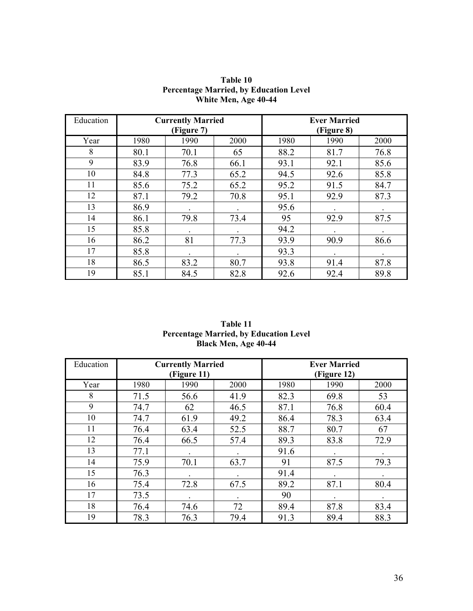| Education |      | <b>Currently Married</b><br>(Figure 7) |      |      | <b>Ever Married</b><br>(Figure 8) |      |
|-----------|------|----------------------------------------|------|------|-----------------------------------|------|
| Year      | 1980 | 1990                                   | 2000 | 1980 | 1990                              | 2000 |
| 8         | 80.1 | 70.1                                   | 65   | 88.2 | 81.7                              | 76.8 |
| 9         | 83.9 | 76.8                                   | 66.1 | 93.1 | 92.1                              | 85.6 |
| 10        | 84.8 | 77.3                                   | 65.2 | 94.5 | 92.6                              | 85.8 |
| 11        | 85.6 | 75.2                                   | 65.2 | 95.2 | 91.5                              | 84.7 |
| 12        | 87.1 | 79.2                                   | 70.8 | 95.1 | 92.9                              | 87.3 |
| 13        | 86.9 |                                        |      | 95.6 |                                   |      |
| 14        | 86.1 | 79.8                                   | 73.4 | 95   | 92.9                              | 87.5 |
| 15        | 85.8 |                                        |      | 94.2 |                                   |      |
| 16        | 86.2 | 81                                     | 77.3 | 93.9 | 90.9                              | 86.6 |
| 17        | 85.8 |                                        |      | 93.3 |                                   |      |
| 18        | 86.5 | 83.2                                   | 80.7 | 93.8 | 91.4                              | 87.8 |
| 19        | 85.1 | 84.5                                   | 82.8 | 92.6 | 92.4                              | 89.8 |

**Table 10 Percentage Married, by Education Level White Men, Age 40-44** 

| Table 11                                      |  |  |  |  |  |  |  |
|-----------------------------------------------|--|--|--|--|--|--|--|
| <b>Percentage Married, by Education Level</b> |  |  |  |  |  |  |  |
| Black Men, Age 40-44                          |  |  |  |  |  |  |  |

| Education |      | <b>Currently Married</b><br>(Figure 11) |      | <b>Ever Married</b><br>(Figure 12) |      |      |  |
|-----------|------|-----------------------------------------|------|------------------------------------|------|------|--|
| Year      | 1980 | 1990                                    | 2000 | 1980                               | 1990 | 2000 |  |
| 8         | 71.5 | 56.6                                    | 41.9 | 82.3                               | 69.8 | 53   |  |
| 9         | 74.7 | 62                                      | 46.5 | 87.1                               | 76.8 | 60.4 |  |
| 10        | 74.7 | 61.9                                    | 49.2 | 86.4                               | 78.3 | 63.4 |  |
| 11        | 76.4 | 63.4                                    | 52.5 | 88.7                               | 80.7 | 67   |  |
| 12        | 76.4 | 66.5                                    | 57.4 | 89.3                               | 83.8 | 72.9 |  |
| 13        | 77.1 |                                         |      | 91.6                               |      |      |  |
| 14        | 75.9 | 70.1                                    | 63.7 | 91                                 | 87.5 | 79.3 |  |
| 15        | 76.3 |                                         |      | 91.4                               |      |      |  |
| 16        | 75.4 | 72.8                                    | 67.5 | 89.2                               | 87.1 | 80.4 |  |
| 17        | 73.5 |                                         |      | 90                                 |      |      |  |
| 18        | 76.4 | 74.6                                    | 72   | 89.4                               | 87.8 | 83.4 |  |
| 19        | 78.3 | 76.3                                    | 79.4 | 91.3                               | 89.4 | 88.3 |  |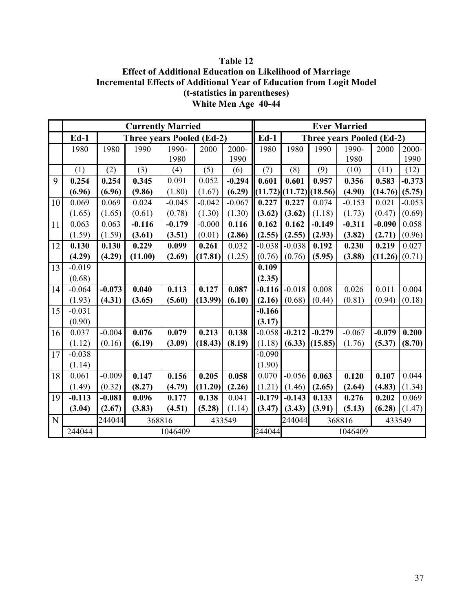# **Table 12 Effect of Additional Education on Likelihood of Marriage Incremental Effects of Additional Year of Education from Logit Model (t-statistics in parentheses) White Men Age 40-44**

|    |          |                            | <b>Currently Married</b>         |          |          |                            | <b>Ever Married</b> |          |                   |                                  |          |          |
|----|----------|----------------------------|----------------------------------|----------|----------|----------------------------|---------------------|----------|-------------------|----------------------------------|----------|----------|
|    | $Ed-1$   |                            | <b>Three years Pooled (Ed-2)</b> |          |          |                            | $Ed-1$              |          |                   | <b>Three years Pooled (Ed-2)</b> |          |          |
|    | 1980     | 1980                       | 1990                             | 1990-    | 2000     | 2000-                      | 1980                | 1980     | 1990              | 1990-                            | 2000     | 2000-    |
|    |          |                            |                                  | 1980     |          | 1990                       |                     |          |                   | 1980                             |          | 1990     |
|    | (1)      | (2)                        | (3)                              | (4)      | (5)      | (6)                        | (7)                 | (8)      | (9)               | (10)                             | (11)     | (12)     |
| 9  | 0.254    | 0.254                      | 0.345                            | 0.091    | 0.052    | $-0.294$                   | 0.601               | 0.601    | 0.957             | 0.356                            | 0.583    | $-0.373$ |
|    | (6.96)   | (6.96)                     | (9.86)                           | (1.80)   | (1.67)   | (6.29)                     | (11.72)             |          | $(11.72)$ (18.56) | (4.90)                           | (14.76)  | (5.75)   |
| 10 | 0.069    | 0.069                      | 0.024                            | $-0.045$ | $-0.042$ | $-0.067$                   | 0.227               | 0.227    | 0.074             | $-0.153$                         | 0.021    | $-0.053$ |
|    | (1.65)   | (1.65)                     | (0.61)                           | (0.78)   | (1.30)   | (1.30)                     | (3.62)              | (3.62)   | (1.18)            | (1.73)                           | (0.47)   | (0.69)   |
| 11 | 0.063    | 0.063                      | $-0.116$                         | $-0.179$ | $-0.000$ | 0.116                      | 0.162               | 0.162    | $-0.149$          | $-0.311$                         | $-0.090$ | 0.058    |
|    | (1.59)   | (1.59)                     | (3.61)                           | (3.51)   | (0.01)   | (2.86)                     | (2.55)              | (2.55)   | (2.93)            | (3.82)                           | (2.71)   | (0.96)   |
| 12 | 0.130    | 0.130                      | 0.229                            | 0.099    | 0.261    | 0.032                      | $-0.038$            | $-0.038$ | 0.192             | 0.230                            | 0.219    | 0.027    |
|    | (4.29)   | (4.29)                     | (11.00)                          | (2.69)   | (17.81)  | (1.25)                     | (0.76)              | (0.76)   | (5.95)            | (3.88)                           | (11.26)  | (0.71)   |
| 13 | $-0.019$ |                            |                                  |          |          |                            | 0.109               |          |                   |                                  |          |          |
|    | (0.68)   |                            |                                  |          |          |                            | (2.35)              |          |                   |                                  |          |          |
| 14 | $-0.064$ | $-0.073$                   | 0.040                            | 0.113    | 0.127    | 0.087                      | $-0.116$            | $-0.018$ | 0.008             | 0.026                            | 0.011    | 0.004    |
|    | (1.93)   | (4.31)                     | (3.65)                           | (5.60)   | (13.99)  | (6.10)                     | (2.16)              | (0.68)   | (0.44)            | (0.81)                           | (0.94)   | (0.18)   |
| 15 | $-0.031$ |                            |                                  |          |          |                            | $-0.166$            |          |                   |                                  |          |          |
|    | (0.90)   |                            |                                  |          |          |                            | (3.17)              |          |                   |                                  |          |          |
| 16 | 0.037    | $-0.004$                   | 0.076                            | 0.079    | 0.213    | 0.138                      | $-0.058$            | $-0.212$ | $-0.279$          | $-0.067$                         | $-0.079$ | 0.200    |
|    | (1.12)   | (0.16)                     | (6.19)                           | (3.09)   | (18.43)  | (8.19)                     | (1.18)              | (6.33)   | (15.85)           | (1.76)                           | (5.37)   | (8.70)   |
| 17 | $-0.038$ |                            |                                  |          |          |                            | $-0.090$            |          |                   |                                  |          |          |
|    | (1.14)   |                            |                                  |          |          |                            | (1.90)              |          |                   |                                  |          |          |
| 18 | 0.061    | $-0.009$                   | 0.147                            | 0.156    | 0.205    | 0.058                      | 0.070               | $-0.056$ | 0.063             | 0.120                            | 0.107    | 0.044    |
|    | (1.49)   | (0.32)                     | (8.27)                           | (4.79)   | (11.20)  | (2.26)                     | (1.21)              | (1.46)   | (2.65)            | (2.64)                           | (4.83)   | (1.34)   |
| 19 | $-0.113$ | $-0.081$                   | 0.096                            | 0.177    | 0.138    | 0.041                      | $-0.179$            | $-0.143$ | 0.133             | 0.276                            | 0.202    | 0.069    |
|    | (3.04)   | (2.67)                     | (3.83)                           | (4.51)   | (5.28)   | (1.14)                     | (3.47)              | (3.43)   | (3.91)            | (5.13)                           | (6.28)   | (1.47)   |
| N  |          | 244044<br>368816<br>433549 |                                  |          |          | 244044<br>368816<br>433549 |                     |          |                   |                                  |          |          |
|    | 244044   |                            |                                  | 1046409  |          |                            | 244044              |          |                   | 1046409                          |          |          |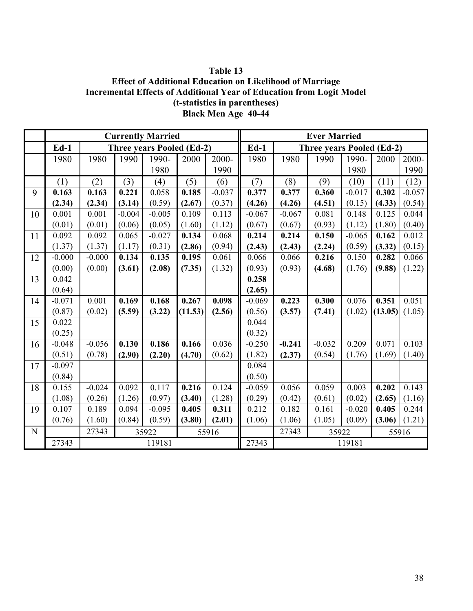# **Table 13 Effect of Additional Education on Likelihood of Marriage Incremental Effects of Additional Year of Education from Logit Model (t-statistics in parentheses) Black Men Age 40-44**

|           |          |          |          | <b>Currently Married</b>         |         |          | <b>Ever Married</b> |          |                                  |          |         |          |
|-----------|----------|----------|----------|----------------------------------|---------|----------|---------------------|----------|----------------------------------|----------|---------|----------|
|           | $Ed-1$   |          |          | <b>Three years Pooled (Ed-2)</b> |         |          | $Ed-1$              |          | <b>Three years Pooled (Ed-2)</b> |          |         |          |
|           | 1980     | 1980     | 1990     | 1990-                            | 2000    | 2000-    | 1980                | 1980     | 1990                             | 1990-    | 2000    | 2000-    |
|           |          |          |          | 1980                             |         | 1990     |                     |          |                                  | 1980     |         | 1990     |
|           | (1)      | (2)      | (3)      | (4)                              | (5)     | (6)      | (7)                 | (8)      | (9)                              | (10)     | (11)    | (12)     |
| 9         | 0.163    | 0.163    | 0.221    | 0.058                            | 0.185   | $-0.037$ | 0.377               | 0.377    | 0.360                            | $-0.017$ | 0.302   | $-0.057$ |
|           | (2.34)   | (2.34)   | (3.14)   | (0.59)                           | (2.67)  | (0.37)   | (4.26)              | (4.26)   | (4.51)                           | (0.15)   | (4.33)  | (0.54)   |
| 10        | 0.001    | 0.001    | $-0.004$ | $-0.005$                         | 0.109   | 0.113    | $-0.067$            | $-0.067$ | 0.081                            | 0.148    | 0.125   | 0.044    |
|           | (0.01)   | (0.01)   | (0.06)   | (0.05)                           | (1.60)  | (1.12)   | (0.67)              | (0.67)   | (0.93)                           | (1.12)   | (1.80)  | (0.40)   |
| 11        | 0.092    | 0.092    | 0.065    | $-0.027$                         | 0.134   | 0.068    | 0.214               | 0.214    | 0.150                            | $-0.065$ | 0.162   | 0.012    |
|           | (1.37)   | (1.37)   | (1.17)   | (0.31)                           | (2.86)  | (0.94)   | (2.43)              | (2.43)   | (2.24)                           | (0.59)   | (3.32)  | (0.15)   |
| 12        | $-0.000$ | $-0.000$ | 0.134    | 0.135                            | 0.195   | 0.061    | 0.066               | 0.066    | 0.216                            | 0.150    | 0.282   | 0.066    |
|           | (0.00)   | (0.00)   | (3.61)   | (2.08)                           | (7.35)  | (1.32)   | (0.93)              | (0.93)   | (4.68)                           | (1.76)   | (9.88)  | (1.22)   |
| 13        | 0.042    |          |          |                                  |         |          | 0.258               |          |                                  |          |         |          |
|           | (0.64)   |          |          |                                  |         |          | (2.65)              |          |                                  |          |         |          |
| 14        | $-0.071$ | 0.001    | 0.169    | 0.168                            | 0.267   | 0.098    | $-0.069$            | 0.223    | 0.300                            | 0.076    | 0.351   | 0.051    |
|           | (0.87)   | (0.02)   | (5.59)   | (3.22)                           | (11.53) | (2.56)   | (0.56)              | (3.57)   | (7.41)                           | (1.02)   | (13.05) | (1.05)   |
| 15        | 0.022    |          |          |                                  |         |          | 0.044               |          |                                  |          |         |          |
|           | (0.25)   |          |          |                                  |         |          | (0.32)              |          |                                  |          |         |          |
| 16        | $-0.048$ | $-0.056$ | 0.130    | 0.186                            | 0.166   | 0.036    | $-0.250$            | $-0.241$ | $-0.032$                         | 0.209    | 0.071   | 0.103    |
|           | (0.51)   | (0.78)   | (2.90)   | (2.20)                           | (4.70)  | (0.62)   | (1.82)              | (2.37)   | (0.54)                           | (1.76)   | (1.69)  | (1.40)   |
| 17        | $-0.097$ |          |          |                                  |         |          | 0.084               |          |                                  |          |         |          |
|           | (0.84)   |          |          |                                  |         |          | (0.50)              |          |                                  |          |         |          |
| 18        | 0.155    | $-0.024$ | 0.092    | 0.117                            | 0.216   | 0.124    | $-0.059$            | 0.056    | 0.059                            | 0.003    | 0.202   | 0.143    |
|           | (1.08)   | (0.26)   | (1.26)   | (0.97)                           | (3.40)  | (1.28)   | (0.29)              | (0.42)   | (0.61)                           | (0.02)   | (2.65)  | (1.16)   |
| 19        | 0.107    | 0.189    | 0.094    | $-0.095$                         | 0.405   | 0.311    | 0.212               | 0.182    | 0.161                            | $-0.020$ | 0.405   | 0.244    |
|           | (0.76)   | (1.60)   | (0.84)   | (0.59)                           | (3.80)  | (2.01)   | (1.06)              | (1.06)   | (1.05)                           | (0.09)   | (3.06)  | (1.21)   |
| ${\bf N}$ |          | 27343    |          | 35922                            |         | 55916    |                     | 27343    | 35922<br>55916                   |          |         |          |
|           | 27343    |          |          | 119181                           |         |          | 27343               |          |                                  | 119181   |         |          |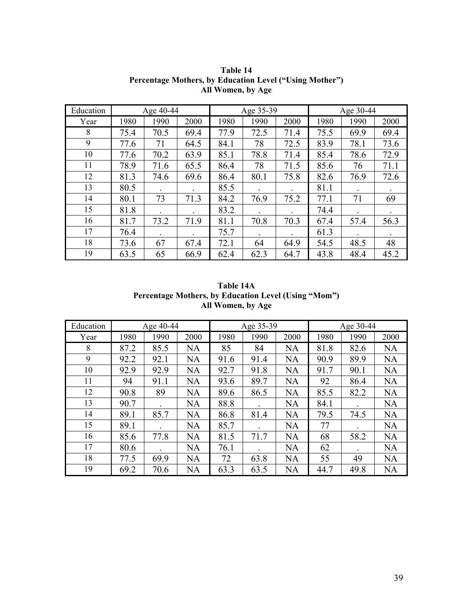| Education | Age 40-44 |      |      | Age 35-39 |      |      | Age 30-44 |      |      |
|-----------|-----------|------|------|-----------|------|------|-----------|------|------|
| Year      | 1980      | 1990 | 2000 | 1980      | 1990 | 2000 | 1980      | 1990 | 2000 |
| 8         | 75.4      | 70.5 | 69.4 | 77.9      | 72.5 | 71.4 | 75.5      | 69.9 | 69.4 |
| 9         | 77.6      | 71   | 64.5 | 84.1      | 78   | 72.5 | 83.9      | 78.1 | 73.6 |
| 10        | 77.6      | 70.2 | 63.9 | 85.1      | 78.8 | 71.4 | 85.4      | 78.6 | 72.9 |
| 11        | 78.9      | 71.6 | 65.5 | 86.4      | 78   | 71.5 | 85.6      | 76   | 71.1 |
| 12        | 81.3      | 74.6 | 69.6 | 86.4      | 80.1 | 75.8 | 82.6      | 76.9 | 72.6 |
| 13        | 80.5      |      |      | 85.5      |      |      | 81.1      |      |      |
| 14        | 80.1      | 73   | 71.3 | 84.2      | 76.9 | 75.2 | 77.1      | 71   | 69   |
| 15        | 81.8      |      |      | 83.2      |      |      | 74.4      |      |      |
| 16        | 81.7      | 73.2 | 71.9 | 81.1      | 70.8 | 70.3 | 67.4      | 57.4 | 56.3 |
| 17        | 76.4      |      |      | 75.7      |      |      | 61.3      |      |      |
| 18        | 73.6      | 67   | 67.4 | 72.1      | 64   | 64.9 | 54.5      | 48.5 | 48   |
| 19        | 63.5      | 65   | 66.9 | 62.4      | 62.3 | 64.7 | 43.8      | 48.4 | 45.2 |

**Table 14 Percentage Mothers, by Education Level ("Using Mother") All Women, by Age** 

| Table 14A                                            |
|------------------------------------------------------|
| Percentage Mothers, by Education Level (Using "Mom") |
| All Women, by Age                                    |

| Education | Age 40-44 |      |      |      | Age 35-39 |           | Age 30-44 |      |           |  |
|-----------|-----------|------|------|------|-----------|-----------|-----------|------|-----------|--|
| Year      | 1980      | 1990 | 2000 | 1980 | 1990      | 2000      | 1980      | 1990 | 2000      |  |
| 8         | 87.2      | 85.5 | NA   | 85   | 84        | NA        | 81.8      | 82.6 | NA        |  |
| 9         | 92.2      | 92.1 | NA   | 91.6 | 91.4      | <b>NA</b> | 90.9      | 89.9 | <b>NA</b> |  |
| 10        | 92.9      | 92.9 | NA   | 92.7 | 91.8      | NA        | 91.7      | 90.1 | <b>NA</b> |  |
| 11        | 94        | 91.1 | NA   | 93.6 | 89.7      | NA        | 92        | 86.4 | <b>NA</b> |  |
| 12        | 90.8      | 89   | NA   | 89.6 | 86.5      | NA        | 85.5      | 82.2 | <b>NA</b> |  |
| 13        | 90.7      |      | NA   | 88.8 |           | NA        | 84.1      |      | NA        |  |
| 14        | 89.1      | 85.7 | NA   | 86.8 | 81.4      | NA        | 79.5      | 74.5 | <b>NA</b> |  |
| 15        | 89.1      |      | NA   | 85.7 |           | <b>NA</b> | 77        |      | <b>NA</b> |  |
| 16        | 85.6      | 77.8 | NA   | 81.5 | 71.7      | NA        | 68        | 58.2 | NA        |  |
| 17        | 80.6      |      | NA   | 76.1 |           | <b>NA</b> | 62        |      | <b>NA</b> |  |
| 18        | 77.5      | 69.9 | NA   | 72   | 63.8      | NA        | 55        | 49   | <b>NA</b> |  |
| 19        | 69.2      | 70.6 | NA   | 63.3 | 63.5      | NA        | 44.7      | 49.8 | NA        |  |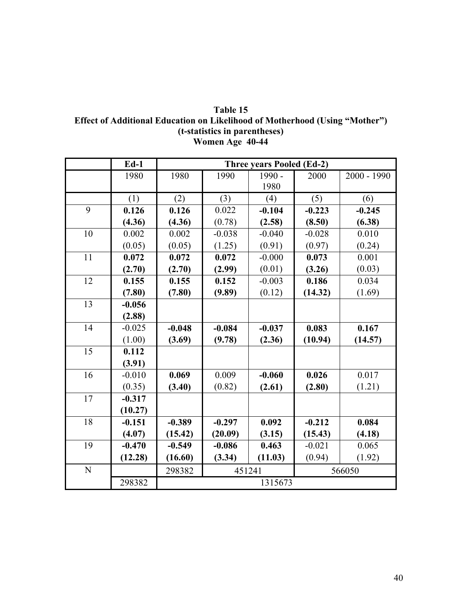| Table 15                                                                           |
|------------------------------------------------------------------------------------|
| <b>Effect of Additional Education on Likelihood of Motherhood (Using "Mother")</b> |
| (t-statistics in parentheses)                                                      |
| Women Age 40-44                                                                    |

|                 | $Ed-1$   | <b>Three years Pooled (Ed-2)</b> |          |          |          |               |  |  |  |  |
|-----------------|----------|----------------------------------|----------|----------|----------|---------------|--|--|--|--|
|                 | 1980     | 1980                             | 1990     | 1990 -   | 2000     | $2000 - 1990$ |  |  |  |  |
|                 |          |                                  |          | 1980     |          |               |  |  |  |  |
|                 | (1)      | (2)                              | (3)      | (4)      | (5)      | (6)           |  |  |  |  |
| 9               | 0.126    | 0.126                            | 0.022    | $-0.104$ | $-0.223$ | $-0.245$      |  |  |  |  |
|                 | (4.36)   | (4.36)                           | (0.78)   | (2.58)   | (8.50)   | (6.38)        |  |  |  |  |
| 10              | 0.002    | 0.002                            | $-0.038$ | $-0.040$ | $-0.028$ | 0.010         |  |  |  |  |
|                 | (0.05)   | (0.05)                           | (1.25)   | (0.91)   | (0.97)   | (0.24)        |  |  |  |  |
| 11              | 0.072    | 0.072                            | 0.072    | $-0.000$ | 0.073    | 0.001         |  |  |  |  |
|                 | (2.70)   | (2.70)                           | (2.99)   | (0.01)   | (3.26)   | (0.03)        |  |  |  |  |
| 12              | 0.155    | 0.155                            | 0.152    | $-0.003$ | 0.186    | 0.034         |  |  |  |  |
|                 | (7.80)   | (7.80)                           | (9.89)   | (0.12)   | (14.32)  | (1.69)        |  |  |  |  |
| 13              | $-0.056$ |                                  |          |          |          |               |  |  |  |  |
|                 | (2.88)   |                                  |          |          |          |               |  |  |  |  |
| 14              | $-0.025$ | $-0.048$                         | $-0.084$ | $-0.037$ | 0.083    | 0.167         |  |  |  |  |
|                 | (1.00)   | (3.69)                           | (9.78)   | (2.36)   | (10.94)  | (14.57)       |  |  |  |  |
| $\overline{15}$ | 0.112    |                                  |          |          |          |               |  |  |  |  |
|                 | (3.91)   |                                  |          |          |          |               |  |  |  |  |
| 16              | $-0.010$ | 0.069                            | 0.009    | $-0.060$ | 0.026    | 0.017         |  |  |  |  |
|                 | (0.35)   | (3.40)                           | (0.82)   | (2.61)   | (2.80)   | (1.21)        |  |  |  |  |
| $\overline{17}$ | $-0.317$ |                                  |          |          |          |               |  |  |  |  |
|                 | (10.27)  |                                  |          |          |          |               |  |  |  |  |
| 18              | $-0.151$ | $-0.389$                         | $-0.297$ | 0.092    | $-0.212$ | 0.084         |  |  |  |  |
|                 | (4.07)   | (15.42)                          | (20.09)  | (3.15)   | (15.43)  | (4.18)        |  |  |  |  |
| 19              | $-0.470$ | $-0.549$                         | $-0.086$ | 0.463    | $-0.021$ | 0.065         |  |  |  |  |
|                 | (12.28)  | (16.60)                          | (3.34)   | (11.03)  | (0.94)   | (1.92)        |  |  |  |  |
| N               |          | 298382                           | 451241   |          |          | 566050        |  |  |  |  |
|                 | 298382   |                                  |          | 1315673  |          |               |  |  |  |  |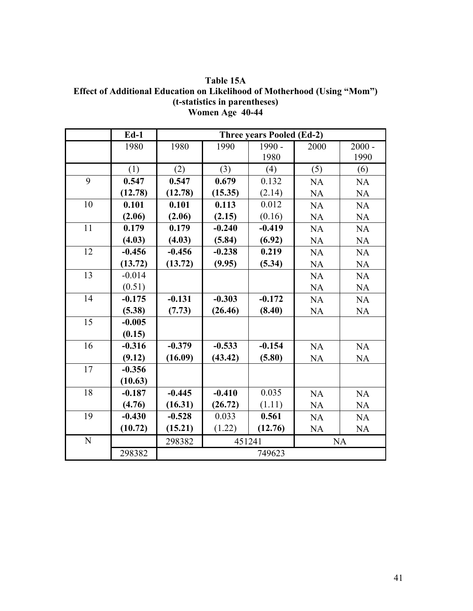**Table 15A Effect of Additional Education on Likelihood of Motherhood (Using "Mom") (t-statistics in parentheses) Women Age 40-44** 

|                 | $Ed-1$   |          |          | <b>Three years Pooled (Ed-2)</b> |           |           |  |
|-----------------|----------|----------|----------|----------------------------------|-----------|-----------|--|
|                 | 1980     | 1980     | 1990     | 1990 -                           | 2000      | $2000 -$  |  |
|                 |          |          |          | 1980                             |           | 1990      |  |
|                 | (1)      | (2)      | (3)      | (4)                              | (5)       | (6)       |  |
| 9               | 0.547    | 0.547    | 0.679    | 0.132                            | <b>NA</b> | <b>NA</b> |  |
|                 | (12.78)  | (12.78)  | (15.35)  | (2.14)                           | <b>NA</b> | <b>NA</b> |  |
| 10              | 0.101    | 0.101    | 0.113    | 0.012                            | <b>NA</b> | <b>NA</b> |  |
|                 | (2.06)   | (2.06)   | (2.15)   | (0.16)                           | <b>NA</b> | <b>NA</b> |  |
| 11              | 0.179    | 0.179    | $-0.240$ | $-0.419$                         | NA        | NA        |  |
|                 | (4.03)   | (4.03)   | (5.84)   | (6.92)                           | <b>NA</b> | <b>NA</b> |  |
| 12              | $-0.456$ | $-0.456$ | $-0.238$ | 0.219                            | <b>NA</b> | <b>NA</b> |  |
|                 | (13.72)  | (13.72)  | (9.95)   | (5.34)                           | <b>NA</b> | NA        |  |
| 13              | $-0.014$ |          |          |                                  | <b>NA</b> | <b>NA</b> |  |
|                 | (0.51)   |          |          |                                  | <b>NA</b> | <b>NA</b> |  |
| 14              | $-0.175$ | $-0.131$ | $-0.303$ | $-0.172$                         | <b>NA</b> | <b>NA</b> |  |
|                 | (5.38)   | (7.73)   | (26.46)  | (8.40)                           | <b>NA</b> | <b>NA</b> |  |
| $\overline{15}$ | $-0.005$ |          |          |                                  |           |           |  |
|                 | (0.15)   |          |          |                                  |           |           |  |
| 16              | $-0.316$ | $-0.379$ | $-0.533$ | $-0.154$                         | NA        | NA        |  |
|                 | (9.12)   | (16.09)  | (43.42)  | (5.80)                           | <b>NA</b> | <b>NA</b> |  |
| 17              | $-0.356$ |          |          |                                  |           |           |  |
|                 | (10.63)  |          |          |                                  |           |           |  |
| 18              | $-0.187$ | $-0.445$ | $-0.410$ | 0.035                            | <b>NA</b> | <b>NA</b> |  |
|                 | (4.76)   | (16.31)  | (26.72)  | (1.11)                           | <b>NA</b> | <b>NA</b> |  |
| 19              | $-0.430$ | $-0.528$ | 0.033    | 0.561                            | <b>NA</b> | <b>NA</b> |  |
|                 | (10.72)  | (15.21)  | (1.22)   | (12.76)                          | <b>NA</b> | NA        |  |
| N               |          | 298382   | 451241   |                                  | <b>NA</b> |           |  |
|                 | 298382   |          |          | 749623                           |           |           |  |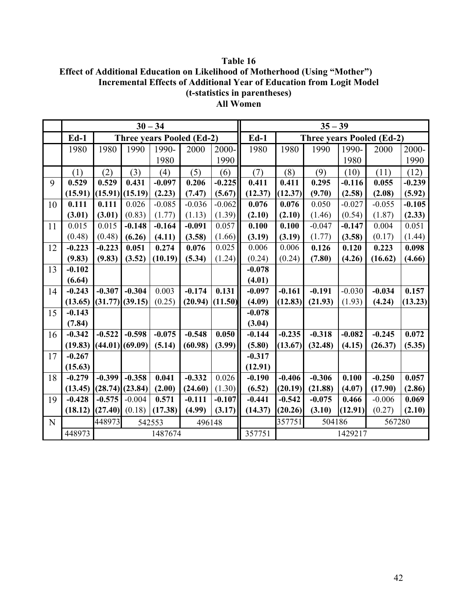**Table 16 Effect of Additional Education on Likelihood of Motherhood (Using "Mother") Incremental Effects of Additional Year of Education from Logit Model (t-statistics in parentheses) All Women** 

|    |          |                            |          | $30 - 34$ |                                  |          |                            |          | $35 - 39$ |          |                                  |          |
|----|----------|----------------------------|----------|-----------|----------------------------------|----------|----------------------------|----------|-----------|----------|----------------------------------|----------|
|    | $Ed-1$   |                            |          |           | <b>Three years Pooled (Ed-2)</b> |          | $Ed-1$                     |          |           |          | <b>Three years Pooled (Ed-2)</b> |          |
|    | 1980     | 1980                       | 1990     | 1990-     | 2000                             | 2000-    | 1980                       | 1980     | 1990      | 1990-    | 2000                             | 2000-    |
|    |          |                            |          | 1980      |                                  | 1990     |                            |          |           | 1980     |                                  | 1990     |
|    | (1)      | (2)                        | (3)      | (4)       | (5)                              | (6)      | (7)                        | (8)      | (9)       | (10)     | (11)                             | (12)     |
| 9  | 0.529    | 0.529                      | 0.431    | $-0.097$  | 0.206                            | $-0.225$ | 0.411                      | 0.411    | 0.295     | $-0.116$ | 0.055                            | $-0.239$ |
|    | (15.91)  | (15.91)                    | (15.19)  | (2.23)    | (7.47)                           | (5.67)   | (12.37)                    | (12.37)  | (9.70)    | (2.58)   | (2.08)                           | (5.92)   |
| 10 | 0.111    | 0.111                      | 0.026    | $-0.085$  | $-0.036$                         | $-0.062$ | 0.076                      | 0.076    | 0.050     | $-0.027$ | $-0.055$                         | $-0.105$ |
|    | (3.01)   | (3.01)                     | (0.83)   | (1.77)    | (1.13)                           | (1.39)   | (2.10)                     | (2.10)   | (1.46)    | (0.54)   | (1.87)                           | (2.33)   |
| 11 | 0.015    | 0.015                      | $-0.148$ | $-0.164$  | $-0.091$                         | 0.057    | 0.100                      | 0.100    | $-0.047$  | $-0.147$ | 0.004                            | 0.051    |
|    | (0.48)   | (0.48)                     | (6.26)   | (4.11)    | (3.58)                           | (1.66)   | (3.19)                     | (3.19)   | (1.77)    | (3.58)   | (0.17)                           | (1.44)   |
| 12 | $-0.223$ | $-0.223$                   | 0.051    | 0.274     | 0.076                            | 0.025    | 0.006                      | 0.006    | 0.126     | 0.120    | 0.223                            | 0.098    |
|    | (9.83)   | (9.83)                     | (3.52)   | (10.19)   | (5.34)                           | (1.24)   | (0.24)                     | (0.24)   | (7.80)    | (4.26)   | (16.62)                          | (4.66)   |
| 13 | $-0.102$ |                            |          |           |                                  |          | $-0.078$                   |          |           |          |                                  |          |
|    | (6.64)   |                            |          |           |                                  |          | (4.01)                     |          |           |          |                                  |          |
| 14 | $-0.243$ | $-0.307$                   | $-0.304$ | 0.003     | $-0.174$                         | 0.131    | $-0.097$                   | $-0.161$ | $-0.191$  | $-0.030$ | $-0.034$                         | 0.157    |
|    | (13.65)  | (31.77)                    | (39.15)  | (0.25)    | (20.94)                          | (11.50)  | (4.09)                     | (12.83)  | (21.93)   | (1.93)   | (4.24)                           | (13.23)  |
| 15 | $-0.143$ |                            |          |           |                                  |          | $-0.078$                   |          |           |          |                                  |          |
|    | (7.84)   |                            |          |           |                                  |          | (3.04)                     |          |           |          |                                  |          |
| 16 | $-0.342$ | $-0.522$                   | $-0.598$ | $-0.075$  | $-0.548$                         | 0.050    | $-0.144$                   | $-0.235$ | $-0.318$  | $-0.082$ | $-0.245$                         | 0.072    |
|    | (19.83)  | (44.01)                    | (69.09)  | (5.14)    | (60.98)                          | (3.99)   | (5.80)                     | (13.67)  | (32.48)   | (4.15)   | (26.37)                          | (5.35)   |
| 17 | $-0.267$ |                            |          |           |                                  |          | $-0.317$                   |          |           |          |                                  |          |
|    | (15.63)  |                            |          |           |                                  |          | (12.91)                    |          |           |          |                                  |          |
| 18 | $-0.279$ | $-0.399$                   | $-0.358$ | 0.041     | $-0.332$                         | 0.026    | $-0.190$                   | $-0.406$ | $-0.306$  | 0.100    | $-0.250$                         | 0.057    |
|    | (13.45)  | (28.74)                    | (23.84)  | (2.00)    | (24.60)                          | (1.30)   | (6.52)                     | (20.19)  | (21.88)   | (4.07)   | (17.90)                          | (2.86)   |
| 19 | $-0.428$ | $-0.575$                   | $-0.004$ | 0.571     | $-0.111$                         | $-0.107$ | $-0.441$                   | $-0.542$ | $-0.075$  | 0.466    | $-0.006$                         | 0.069    |
|    | (18.12)  | (27.40)                    | (0.18)   | (17.38)   | (4.99)                           | (3.17)   | (14.37)                    | (20.26)  | (3.10)    | (12.91)  | (0.27)                           | (2.10)   |
| N  |          | 448973<br>542553<br>496148 |          |           |                                  |          | 567280<br>357751<br>504186 |          |           |          |                                  |          |
|    | 448973   |                            |          | 1487674   |                                  |          | 357751                     |          |           | 1429217  |                                  |          |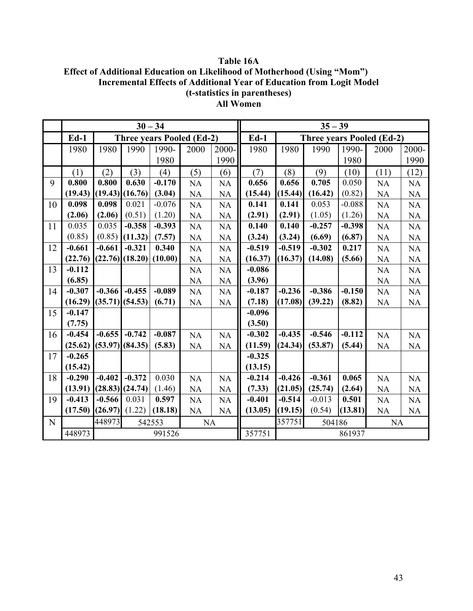**Table 16A Effect of Additional Education on Likelihood of Motherhood (Using "Mom") Incremental Effects of Additional Year of Education from Logit Model (t-statistics in parentheses) All Women** 

|    |          |                               |                     | $30 - 34$                        |           |           | $35 - 39$                     |          |          |          |                                  |           |
|----|----------|-------------------------------|---------------------|----------------------------------|-----------|-----------|-------------------------------|----------|----------|----------|----------------------------------|-----------|
|    | $Ed-1$   |                               |                     | <b>Three years Pooled (Ed-2)</b> |           |           | $Ed-1$                        |          |          |          | <b>Three years Pooled (Ed-2)</b> |           |
|    | 1980     | 1980                          | 1990                | 1990-                            | 2000      | 2000-     | 1980                          | 1980     | 1990     | 1990-    | 2000                             | 2000-     |
|    |          |                               |                     | 1980                             |           | 1990      |                               |          |          | 1980     |                                  | 1990      |
|    | (1)      | (2)                           | (3)                 | (4)                              | (5)       | (6)       | (7)                           | (8)      | (9)      | (10)     | (11)                             | (12)      |
| 9  | 0.800    | 0.800                         | 0.630               | $-0.170$                         | <b>NA</b> | <b>NA</b> | 0.656                         | 0.656    | 0.705    | 0.050    | <b>NA</b>                        | <b>NA</b> |
|    | (19.43)  |                               | $(19.43)$ $(16.76)$ | (3.04)                           | NA        | <b>NA</b> | (15.44)                       | (15.44)  | (16.42)  | (0.82)   | <b>NA</b>                        | $\rm NA$  |
| 10 | 0.098    | 0.098                         | 0.021               | $-0.076$                         | NA        | <b>NA</b> | 0.141                         | 0.141    | 0.053    | $-0.088$ | NA                               | <b>NA</b> |
|    | (2.06)   | (2.06)                        | (0.51)              | (1.20)                           | NA        | <b>NA</b> | (2.91)                        | (2.91)   | (1.05)   | (1.26)   | <b>NA</b>                        | $\rm NA$  |
| 11 | 0.035    | 0.035                         | $-0.358$            | $-0.393$                         | NA        | <b>NA</b> | 0.140                         | 0.140    | $-0.257$ | $-0.398$ | NA                               | <b>NA</b> |
|    | (0.85)   | (0.85)                        | (11.32)             | (7.57)                           | NA        | <b>NA</b> | (3.24)                        | (3.24)   | (6.69)   | (6.87)   | <b>NA</b>                        | $\rm NA$  |
| 12 | $-0.661$ | $-0.661$                      | $-0.321$            | 0.340                            | NA        | <b>NA</b> | $-0.519$                      | $-0.519$ | $-0.302$ | 0.217    | <b>NA</b>                        | <b>NA</b> |
|    | (22.76)  | $(22.76)$ $(18.20)$           |                     | (10.00)                          | <b>NA</b> | NA        | (16.37)                       | (16.37)  | (14.08)  | (5.66)   | <b>NA</b>                        | $\rm NA$  |
| 13 | $-0.112$ |                               |                     |                                  | NA        | <b>NA</b> | $-0.086$                      |          |          |          | NA                               | <b>NA</b> |
|    | (6.85)   |                               |                     |                                  | NA        | NA        | (3.96)                        |          |          |          | NA                               | NA        |
| 14 | $-0.307$ | $-0.366$                      | $-0.455$            | $-0.089$                         | <b>NA</b> | <b>NA</b> | $-0.187$                      | $-0.236$ | $-0.386$ | $-0.150$ | NA                               | NA        |
|    | (16.29)  | (35.71)                       | (54.53)             | (6.71)                           | $\rm NA$  | NA        | (7.18)                        | (17.08)  | (39.22)  | (8.82)   | <b>NA</b>                        | NA        |
| 15 | $-0.147$ |                               |                     |                                  |           |           | $-0.096$                      |          |          |          |                                  |           |
|    | (7.75)   |                               |                     |                                  |           |           | (3.50)                        |          |          |          |                                  |           |
| 16 | $-0.454$ | $-0.655$                      | $-0.742$            | $-0.087$                         | NA        | <b>NA</b> | $-0.302$                      | $-0.435$ | $-0.546$ | $-0.112$ | NA                               | <b>NA</b> |
|    | (25.62)  | (53.97)                       | (84.35)             | (5.83)                           | NA        | NA        | (11.59)                       | (24.34)  | (53.87)  | (5.44)   | NA                               | NA        |
| 17 | $-0.265$ |                               |                     |                                  |           |           | $-0.325$                      |          |          |          |                                  |           |
|    | (15.42)  |                               |                     |                                  |           |           | (13.15)                       |          |          |          |                                  |           |
| 18 | $-0.290$ | $-0.402$                      | $-0.372$            | 0.030                            | NA        | <b>NA</b> | $-0.214$                      | $-0.426$ | $-0.361$ | 0.065    | NA                               | NA        |
|    | (13.91)  |                               | $(28.83)$ $(24.74)$ | (1.46)                           | NA        | <b>NA</b> | (7.33)                        | (21.05)  | (25.74)  | (2.64)   | NA                               | NA        |
| 19 | $-0.413$ | $-0.566$                      | 0.031               | 0.597                            | NA        | <b>NA</b> | $-0.401$                      | $-0.514$ | $-0.013$ | 0.501    | <b>NA</b>                        | <b>NA</b> |
|    | (17.50)  | (26.97)                       | (1.22)              | (18.18)                          | NA        | NA        | (13.05)                       | (19.15)  | (0.54)   | (13.81)  | NA                               | NA        |
| N  |          | 448973<br><b>NA</b><br>542553 |                     |                                  |           |           | 357751<br>504186<br><b>NA</b> |          |          |          |                                  |           |
|    | 448973   |                               |                     | 991526                           |           |           | 357751                        |          |          | 861937   |                                  |           |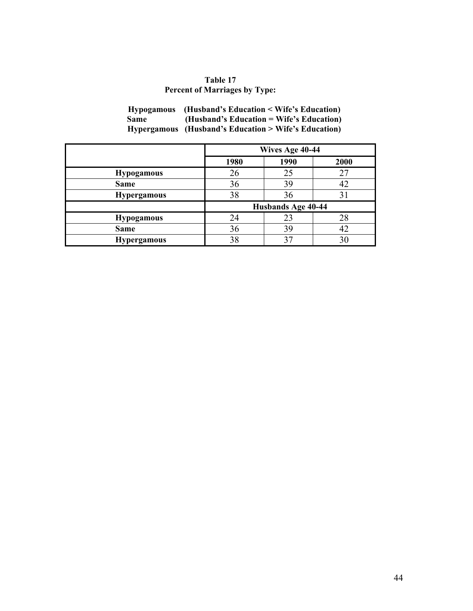# **Table 17 Percent of Marriages by Type:**

| <b>Hypogamous</b> | (Husband's Education < Wife's Education)             |
|-------------------|------------------------------------------------------|
| Same              | $(Husband's Education = Wife's Education)$           |
|                   | Hypergamous (Husband's Education > Wife's Education) |

|                    |      | Wives Age 40-44    |      |
|--------------------|------|--------------------|------|
|                    | 1980 | 1990               | 2000 |
| <b>Hypogamous</b>  | 26   | 25                 |      |
| <b>Same</b>        | 36   | 39                 |      |
| <b>Hypergamous</b> | 38   | 36                 |      |
|                    |      | Husbands Age 40-44 |      |
| <b>Hypogamous</b>  | 24   | 23                 | 28   |
| <b>Same</b>        | 36   | 39                 |      |
| <b>Hypergamous</b> | 38   |                    |      |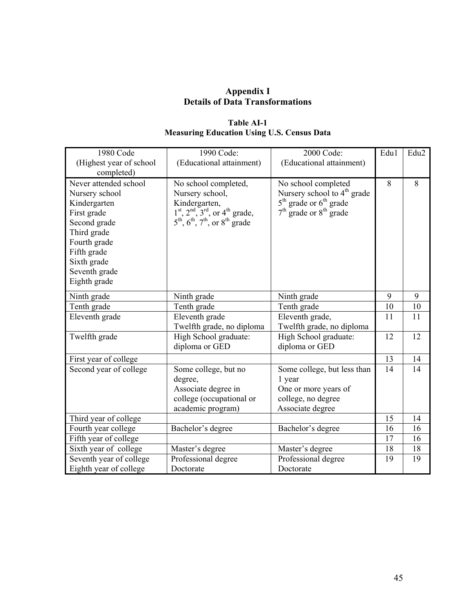## **Appendix I Details of Data Transformations**

# **Table AI-1 Measuring Education Using U.S. Census Data**

| 1980 Code<br>(Highest year of school | 1990 Code:<br>(Educational attainment)                                         | 2000 Code:<br>(Educational attainment)  | Edu1 | Edu <sub>2</sub> |
|--------------------------------------|--------------------------------------------------------------------------------|-----------------------------------------|------|------------------|
| completed)                           |                                                                                |                                         |      |                  |
| Never attended school                | No school completed,                                                           | No school completed                     | 8    | 8                |
| Nursery school                       | Nursery school,                                                                | Nursery school to 4 <sup>th</sup> grade |      |                  |
| Kindergarten                         | Kindergarten,                                                                  | $5th$ grade or $6th$ grade              |      |                  |
| First grade                          | $1st$ , $2nd$ , $3rd$ , or $4th$ grade,                                        | $7th$ grade or $8th$ grade              |      |                  |
| Second grade                         | $5^{\text{th}}$ , $6^{\text{th}}$ , $7^{\text{th}}$ , or $8^{\text{th}}$ grade |                                         |      |                  |
| Third grade                          |                                                                                |                                         |      |                  |
| Fourth grade                         |                                                                                |                                         |      |                  |
| Fifth grade                          |                                                                                |                                         |      |                  |
| Sixth grade                          |                                                                                |                                         |      |                  |
| Seventh grade                        |                                                                                |                                         |      |                  |
| Eighth grade                         |                                                                                |                                         |      |                  |
| Ninth grade                          | Ninth grade                                                                    | Ninth grade                             | 9    | 9                |
| Tenth grade                          | Tenth grade                                                                    | Tenth grade                             | 10   | 10               |
| Eleventh grade                       | Eleventh grade                                                                 | Eleventh grade,                         | 11   | 11               |
|                                      | Twelfth grade, no diploma                                                      | Twelfth grade, no diploma               |      |                  |
| Twelfth grade                        | High School graduate:                                                          | High School graduate:                   | 12   | 12               |
|                                      | diploma or GED                                                                 | diploma or GED                          |      |                  |
| First year of college                |                                                                                |                                         | 13   | 14               |
| Second year of college               | Some college, but no                                                           | Some college, but less than             | 14   | 14               |
|                                      | degree,                                                                        | 1 year                                  |      |                  |
|                                      | Associate degree in                                                            | One or more years of                    |      |                  |
|                                      | college (occupational or                                                       | college, no degree                      |      |                  |
|                                      | academic program)                                                              | Associate degree                        |      |                  |
| Third year of college                |                                                                                |                                         | 15   | 14               |
| Fourth year college                  | Bachelor's degree                                                              | Bachelor's degree                       | 16   | 16               |
| Fifth year of college                |                                                                                |                                         | 17   | 16               |
| Sixth year of college                | Master's degree                                                                | Master's degree                         | 18   | 18               |
| Seventh year of college              | Professional degree                                                            | Professional degree                     | 19   | 19               |
| Eighth year of college               | Doctorate                                                                      | Doctorate                               |      |                  |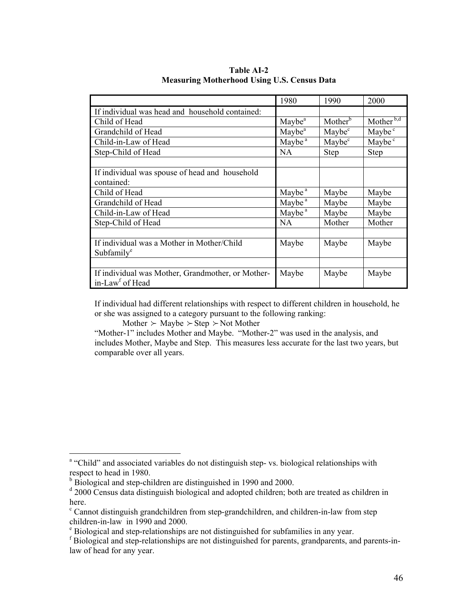|                                                   | 1980               | 1990                | 2000                    |
|---------------------------------------------------|--------------------|---------------------|-------------------------|
| If individual was head and household contained:   |                    |                     |                         |
| Child of Head                                     | Maybe <sup>a</sup> | Mother <sup>b</sup> | Mother $\overline{b,d}$ |
| Grandchild of Head                                | Maybe <sup>a</sup> | Maybe <sup>c</sup>  | Maybe <sup>c</sup>      |
| Child-in-Law of Head                              | Maybe <sup>a</sup> | Maybe <sup>c</sup>  | Maybe <sup>c</sup>      |
| Step-Child of Head                                | <b>NA</b>          | Step                | <b>Step</b>             |
|                                                   |                    |                     |                         |
| If individual was spouse of head and household    |                    |                     |                         |
| contained:                                        |                    |                     |                         |
| Child of Head                                     | Maybe <sup>a</sup> | Maybe               | Maybe                   |
| Grandchild of Head                                | Maybe <sup>a</sup> | Maybe               | Maybe                   |
| Child-in-Law of Head                              | Maybe <sup>a</sup> | Maybe               | Maybe                   |
| Step-Child of Head                                | <b>NA</b>          | Mother              | Mother                  |
|                                                   |                    |                     |                         |
| If individual was a Mother in Mother/Child        | Maybe              | Maybe               | Maybe                   |
| Subfamily <sup>e</sup>                            |                    |                     |                         |
|                                                   |                    |                     |                         |
| If individual was Mother, Grandmother, or Mother- | Maybe              | Maybe               | Maybe                   |
| in-Law <sup>f</sup> of Head                       |                    |                     |                         |

**Table AI-2 Measuring Motherhood Using U.S. Census Data** 

If individual had different relationships with respect to different children in household, he or she was assigned to a category pursuant to the following ranking:

Mother  $\succ$  Maybe  $\succ$  Step  $\succ$  Not Mother

"Mother-1" includes Mother and Maybe. "Mother-2" was used in the analysis, and includes Mother, Maybe and Step. This measures less accurate for the last two years, but comparable over all years.

<sup>&</sup>lt;sup>a</sup> "Child" and associated variables do not distinguish step- vs. biological relationships with respect to head in 1980.

<sup>&</sup>lt;sup>b</sup> Biological and step-children are distinguished in 1990 and 2000.

<sup>&</sup>lt;sup>d</sup> 2000 Census data distinguish biological and adopted children; both are treated as children in here.

<sup>&</sup>lt;sup>c</sup> Cannot distinguish grandchildren from step-grandchildren, and children-in-law from step children-in-law in 1990 and 2000.

<sup>&</sup>lt;sup>e</sup> Biological and step-relationships are not distinguished for subfamilies in any year.

f Biological and step-relationships are not distinguished for parents, grandparents, and parents-inlaw of head for any year.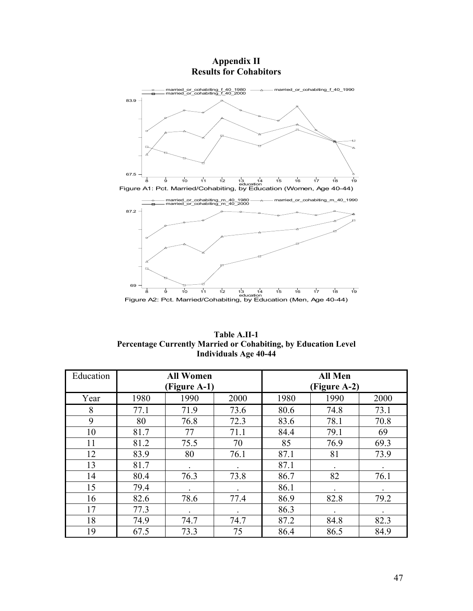

**Appendix II Results for Cohabitors** 

**Table A.II-1 Percentage Currently Married or Cohabiting, by Education Level Individuals Age 40-44** 

| Education |              | <b>All Women</b><br>(Figure A-1) |      | <b>All Men</b><br>(Figure A-2) |      |                      |  |
|-----------|--------------|----------------------------------|------|--------------------------------|------|----------------------|--|
| Year      | 1990<br>1980 |                                  | 2000 | 1980                           |      | 2000                 |  |
| 8         | 77.1         | 71.9                             | 73.6 | 80.6                           | 74.8 | 73.1                 |  |
| 9         | 80           | 76.8                             | 72.3 | 83.6                           | 78.1 | 70.8                 |  |
| 10        | 81.7         | 77                               | 71.1 | 84.4                           | 79.1 | 69                   |  |
| 11        | 81.2         | 75.5                             | 70   | 85                             | 76.9 | 69.3                 |  |
| 12        | 83.9         | 80                               | 76.1 | 87.1                           | 81   | 73.9                 |  |
| 13        | 81.7         |                                  |      | 87.1                           |      | $\ddot{\phantom{0}}$ |  |
| 14        | 80.4         | 76.3                             | 73.8 | 86.7                           | 82   | 76.1                 |  |
| 15        | 79.4         |                                  |      | 86.1                           |      |                      |  |
| 16        | 82.6         | 78.6                             | 77.4 | 86.9                           | 82.8 | 79.2                 |  |
| 17        | 77.3         |                                  |      | 86.3                           |      |                      |  |
| 18        | 74.9         | 74.7                             | 74.7 | 87.2                           | 84.8 | 82.3                 |  |
| 19        | 73.3<br>67.5 |                                  | 75   | 86.4                           | 86.5 | 84.9                 |  |